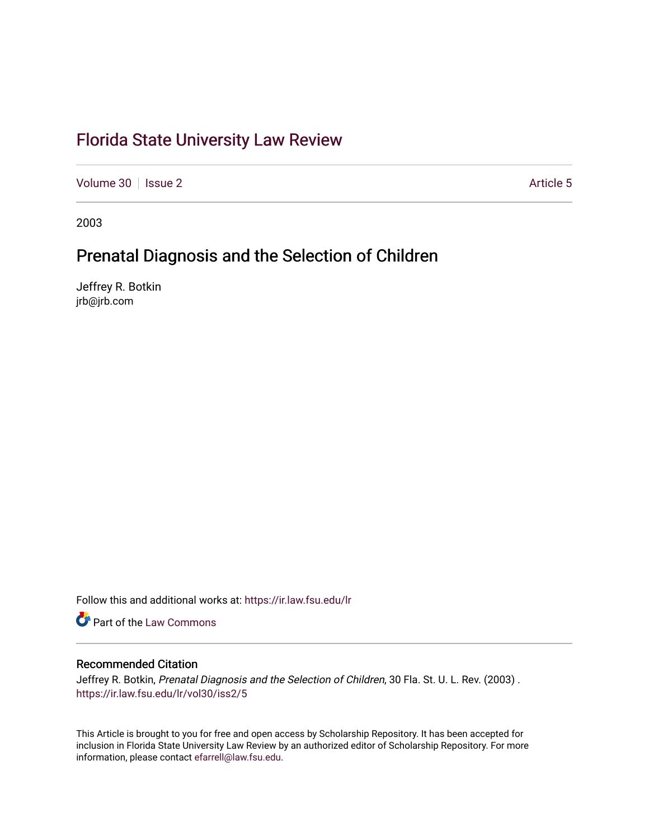# [Florida State University Law Review](https://ir.law.fsu.edu/lr)

[Volume 30](https://ir.law.fsu.edu/lr/vol30) | [Issue 2](https://ir.law.fsu.edu/lr/vol30/iss2) Article 5

2003

# Prenatal Diagnosis and the Selection of Children

Jeffrey R. Botkin jrb@jrb.com

Follow this and additional works at: [https://ir.law.fsu.edu/lr](https://ir.law.fsu.edu/lr?utm_source=ir.law.fsu.edu%2Flr%2Fvol30%2Fiss2%2F5&utm_medium=PDF&utm_campaign=PDFCoverPages) 

**C** Part of the [Law Commons](http://network.bepress.com/hgg/discipline/578?utm_source=ir.law.fsu.edu%2Flr%2Fvol30%2Fiss2%2F5&utm_medium=PDF&utm_campaign=PDFCoverPages)

## Recommended Citation

Jeffrey R. Botkin, Prenatal Diagnosis and the Selection of Children, 30 Fla. St. U. L. Rev. (2003). [https://ir.law.fsu.edu/lr/vol30/iss2/5](https://ir.law.fsu.edu/lr/vol30/iss2/5?utm_source=ir.law.fsu.edu%2Flr%2Fvol30%2Fiss2%2F5&utm_medium=PDF&utm_campaign=PDFCoverPages)

This Article is brought to you for free and open access by Scholarship Repository. It has been accepted for inclusion in Florida State University Law Review by an authorized editor of Scholarship Repository. For more information, please contact [efarrell@law.fsu.edu](mailto:efarrell@law.fsu.edu).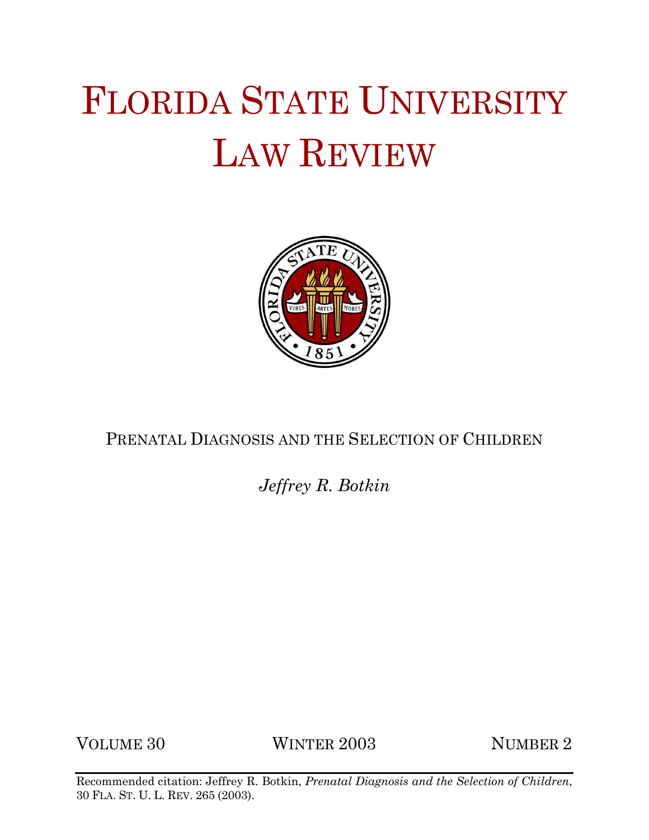# FLORIDA STATE UNIVERSITY LAW REVIEW



PRENATAL DIAGNOSIS AND THE SELECTION OF CHILDREN

*Jeffrey R. Botkin*

VOLUME 30 WINTER 2003 NUMBER 2

Recommended citation: Jeffrey R. Botkin, *Prenatal Diagnosis and the Selection of Children*, 30 FLA. ST. U. L. REV. 265 (2003).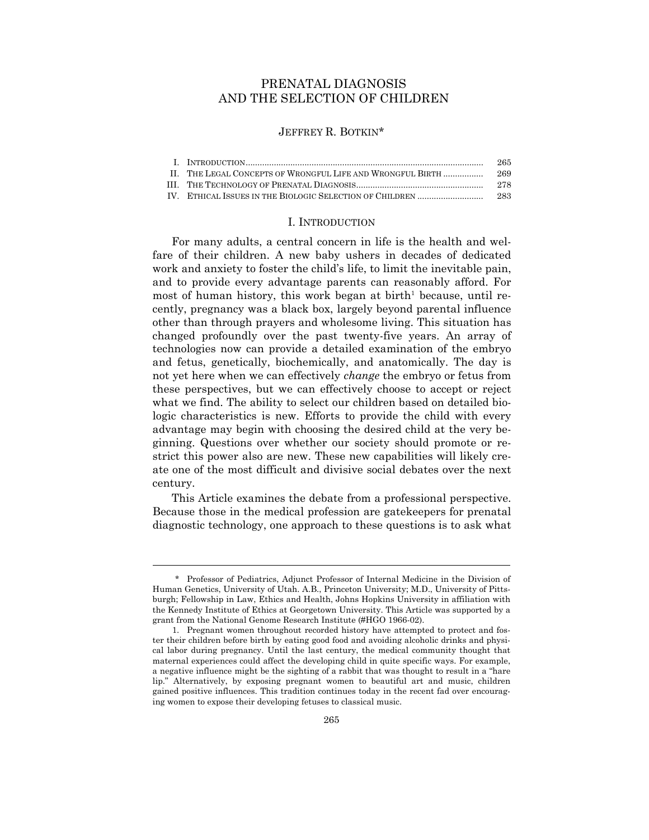## PRENATAL DIAGNOSIS AND THE SELECTION OF CHILDREN

#### JEFFREY R. BOTKIN\*

|                                                            | 265  |
|------------------------------------------------------------|------|
| II. THE LEGAL CONCEPTS OF WRONGFUL LIFE AND WRONGFUL BIRTH | 269  |
|                                                            | -278 |
|                                                            | -283 |
|                                                            |      |

#### I. INTRODUCTION

For many adults, a central concern in life is the health and welfare of their children. A new baby ushers in decades of dedicated work and anxiety to foster the child's life, to limit the inevitable pain, and to provide every advantage parents can reasonably afford. For most of human history, this work began at birth<sup>1</sup> because, until recently, pregnancy was a black box, largely beyond parental influence other than through prayers and wholesome living. This situation has changed profoundly over the past twenty-five years. An array of technologies now can provide a detailed examination of the embryo and fetus, genetically, biochemically, and anatomically. The day is not yet here when we can effectively *change* the embryo or fetus from these perspectives, but we can effectively choose to accept or reject what we find. The ability to select our children based on detailed biologic characteristics is new. Efforts to provide the child with every advantage may begin with choosing the desired child at the very beginning. Questions over whether our society should promote or restrict this power also are new. These new capabilities will likely create one of the most difficult and divisive social debates over the next century.

 This Article examines the debate from a professional perspective. Because those in the medical profession are gatekeepers for prenatal diagnostic technology, one approach to these questions is to ask what

 <sup>\*</sup> Professor of Pediatrics, Adjunct Professor of Internal Medicine in the Division of Human Genetics, University of Utah. A.B., Princeton University; M.D., University of Pittsburgh; Fellowship in Law, Ethics and Health, Johns Hopkins University in affiliation with the Kennedy Institute of Ethics at Georgetown University. This Article was supported by a grant from the National Genome Research Institute (#HGO 1966-02).

 <sup>1.</sup> Pregnant women throughout recorded history have attempted to protect and foster their children before birth by eating good food and avoiding alcoholic drinks and physical labor during pregnancy. Until the last century, the medical community thought that maternal experiences could affect the developing child in quite specific ways. For example, a negative influence might be the sighting of a rabbit that was thought to result in a "hare lip." Alternatively, by exposing pregnant women to beautiful art and music, children gained positive influences. This tradition continues today in the recent fad over encouraging women to expose their developing fetuses to classical music.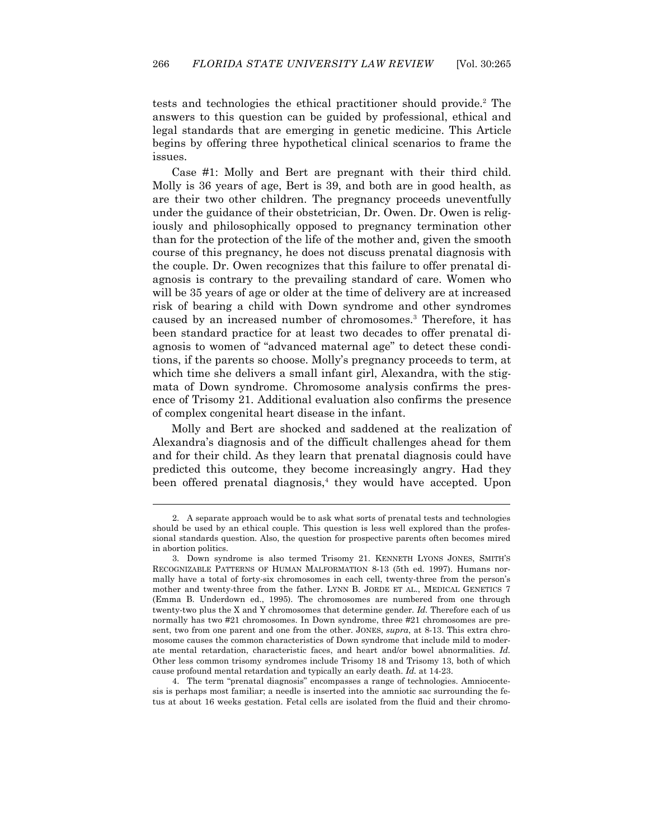tests and technologies the ethical practitioner should provide.2 The answers to this question can be guided by professional, ethical and legal standards that are emerging in genetic medicine. This Article begins by offering three hypothetical clinical scenarios to frame the issues.

Case #1: Molly and Bert are pregnant with their third child. Molly is 36 years of age, Bert is 39, and both are in good health, as are their two other children. The pregnancy proceeds uneventfully under the guidance of their obstetrician, Dr. Owen. Dr. Owen is religiously and philosophically opposed to pregnancy termination other than for the protection of the life of the mother and, given the smooth course of this pregnancy, he does not discuss prenatal diagnosis with the couple. Dr. Owen recognizes that this failure to offer prenatal diagnosis is contrary to the prevailing standard of care. Women who will be 35 years of age or older at the time of delivery are at increased risk of bearing a child with Down syndrome and other syndromes caused by an increased number of chromosomes.<sup>3</sup> Therefore, it has been standard practice for at least two decades to offer prenatal diagnosis to women of "advanced maternal age" to detect these conditions, if the parents so choose. Molly's pregnancy proceeds to term, at which time she delivers a small infant girl, Alexandra, with the stigmata of Down syndrome. Chromosome analysis confirms the presence of Trisomy 21. Additional evaluation also confirms the presence of complex congenital heart disease in the infant.

Molly and Bert are shocked and saddened at the realization of Alexandra's diagnosis and of the difficult challenges ahead for them and for their child. As they learn that prenatal diagnosis could have predicted this outcome, they become increasingly angry. Had they been offered prenatal diagnosis,<sup>4</sup> they would have accepted. Upon

 $\overline{a}$ 

 4. The term "prenatal diagnosis" encompasses a range of technologies. Amniocentesis is perhaps most familiar; a needle is inserted into the amniotic sac surrounding the fetus at about 16 weeks gestation. Fetal cells are isolated from the fluid and their chromo-

 <sup>2.</sup> A separate approach would be to ask what sorts of prenatal tests and technologies should be used by an ethical couple. This question is less well explored than the professional standards question. Also, the question for prospective parents often becomes mired in abortion politics.

 <sup>3.</sup> Down syndrome is also termed Trisomy 21. KENNETH LYONS JONES, SMITH'S RECOGNIZABLE PATTERNS OF HUMAN MALFORMATION 8-13 (5th ed. 1997). Humans normally have a total of forty-six chromosomes in each cell, twenty-three from the person's mother and twenty-three from the father. LYNN B. JORDE ET AL., MEDICAL GENETICS 7 (Emma B. Underdown ed., 1995). The chromosomes are numbered from one through twenty-two plus the X and Y chromosomes that determine gender. *Id.* Therefore each of us normally has two #21 chromosomes. In Down syndrome, three #21 chromosomes are present, two from one parent and one from the other. JONES, *supra*, at 8-13. This extra chromosome causes the common characteristics of Down syndrome that include mild to moderate mental retardation, characteristic faces, and heart and/or bowel abnormalities. *Id.* Other less common trisomy syndromes include Trisomy 18 and Trisomy 13, both of which cause profound mental retardation and typically an early death. *Id.* at 14-23.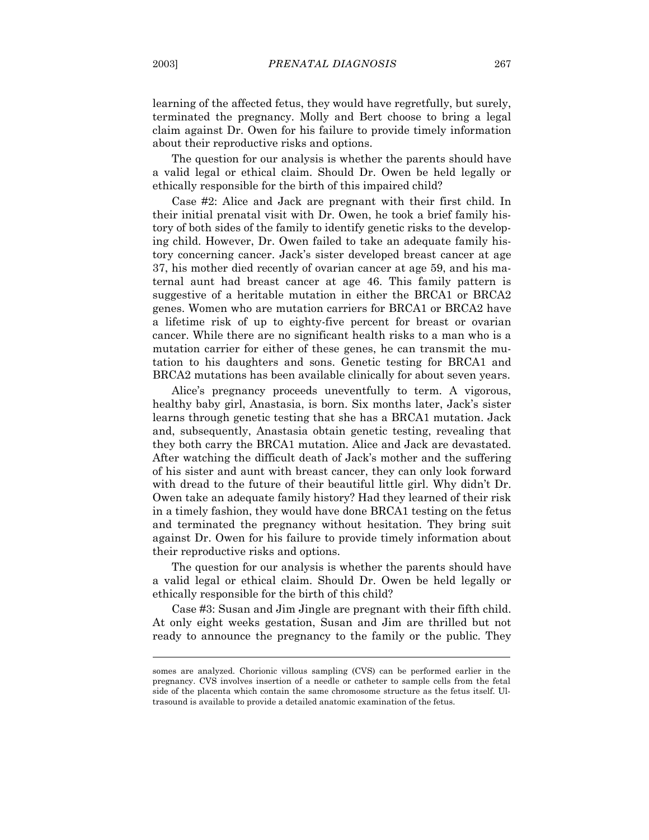learning of the affected fetus, they would have regretfully, but surely, terminated the pregnancy. Molly and Bert choose to bring a legal claim against Dr. Owen for his failure to provide timely information about their reproductive risks and options.

The question for our analysis is whether the parents should have a valid legal or ethical claim. Should Dr. Owen be held legally or ethically responsible for the birth of this impaired child?

 Case #2: Alice and Jack are pregnant with their first child. In their initial prenatal visit with Dr. Owen, he took a brief family history of both sides of the family to identify genetic risks to the developing child. However, Dr. Owen failed to take an adequate family history concerning cancer. Jack's sister developed breast cancer at age 37, his mother died recently of ovarian cancer at age 59, and his maternal aunt had breast cancer at age 46. This family pattern is suggestive of a heritable mutation in either the BRCA1 or BRCA2 genes. Women who are mutation carriers for BRCA1 or BRCA2 have a lifetime risk of up to eighty-five percent for breast or ovarian cancer. While there are no significant health risks to a man who is a mutation carrier for either of these genes, he can transmit the mutation to his daughters and sons. Genetic testing for BRCA1 and BRCA2 mutations has been available clinically for about seven years.

 Alice's pregnancy proceeds uneventfully to term. A vigorous, healthy baby girl, Anastasia, is born. Six months later, Jack's sister learns through genetic testing that she has a BRCA1 mutation. Jack and, subsequently, Anastasia obtain genetic testing, revealing that they both carry the BRCA1 mutation. Alice and Jack are devastated. After watching the difficult death of Jack's mother and the suffering of his sister and aunt with breast cancer, they can only look forward with dread to the future of their beautiful little girl. Why didn't Dr. Owen take an adequate family history? Had they learned of their risk in a timely fashion, they would have done BRCA1 testing on the fetus and terminated the pregnancy without hesitation. They bring suit against Dr. Owen for his failure to provide timely information about their reproductive risks and options.

 The question for our analysis is whether the parents should have a valid legal or ethical claim. Should Dr. Owen be held legally or ethically responsible for the birth of this child?

Case #3: Susan and Jim Jingle are pregnant with their fifth child. At only eight weeks gestation, Susan and Jim are thrilled but not ready to announce the pregnancy to the family or the public. They

somes are analyzed. Chorionic villous sampling (CVS) can be performed earlier in the pregnancy. CVS involves insertion of a needle or catheter to sample cells from the fetal side of the placenta which contain the same chromosome structure as the fetus itself. Ultrasound is available to provide a detailed anatomic examination of the fetus.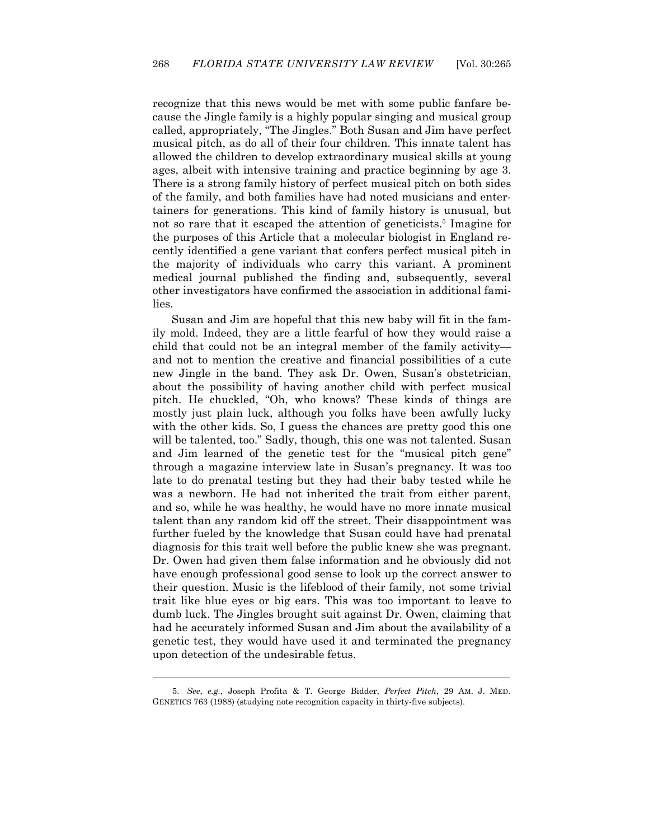recognize that this news would be met with some public fanfare because the Jingle family is a highly popular singing and musical group called, appropriately, "The Jingles." Both Susan and Jim have perfect musical pitch, as do all of their four children. This innate talent has allowed the children to develop extraordinary musical skills at young ages, albeit with intensive training and practice beginning by age 3. There is a strong family history of perfect musical pitch on both sides of the family, and both families have had noted musicians and entertainers for generations. This kind of family history is unusual, but not so rare that it escaped the attention of geneticists.<sup>5</sup> Imagine for the purposes of this Article that a molecular biologist in England recently identified a gene variant that confers perfect musical pitch in the majority of individuals who carry this variant. A prominent medical journal published the finding and, subsequently, several other investigators have confirmed the association in additional families.

Susan and Jim are hopeful that this new baby will fit in the family mold. Indeed, they are a little fearful of how they would raise a child that could not be an integral member of the family activity and not to mention the creative and financial possibilities of a cute new Jingle in the band. They ask Dr. Owen, Susan's obstetrician, about the possibility of having another child with perfect musical pitch. He chuckled, "Oh, who knows? These kinds of things are mostly just plain luck, although you folks have been awfully lucky with the other kids. So, I guess the chances are pretty good this one will be talented, too." Sadly, though, this one was not talented. Susan and Jim learned of the genetic test for the "musical pitch gene" through a magazine interview late in Susan's pregnancy. It was too late to do prenatal testing but they had their baby tested while he was a newborn. He had not inherited the trait from either parent, and so, while he was healthy, he would have no more innate musical talent than any random kid off the street. Their disappointment was further fueled by the knowledge that Susan could have had prenatal diagnosis for this trait well before the public knew she was pregnant. Dr. Owen had given them false information and he obviously did not have enough professional good sense to look up the correct answer to their question. Music is the lifeblood of their family, not some trivial trait like blue eyes or big ears. This was too important to leave to dumb luck. The Jingles brought suit against Dr. Owen, claiming that had he accurately informed Susan and Jim about the availability of a genetic test, they would have used it and terminated the pregnancy upon detection of the undesirable fetus.

 <sup>5.</sup> *See*, *e.g.*, Joseph Profita & T. George Bidder, *Perfect Pitch*, 29 AM. J. MED. GENETICS 763 (1988) (studying note recognition capacity in thirty-five subjects).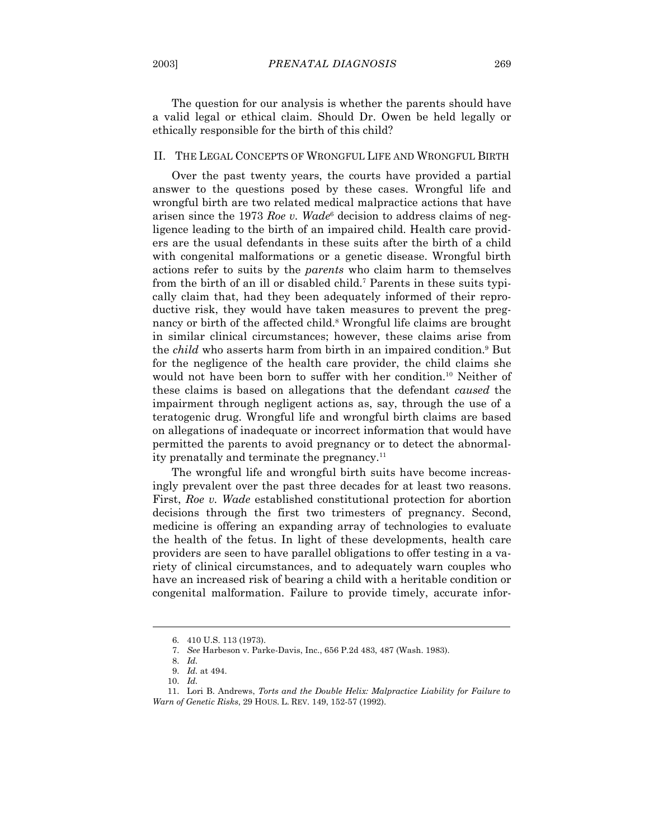The question for our analysis is whether the parents should have a valid legal or ethical claim. Should Dr. Owen be held legally or ethically responsible for the birth of this child?

#### II. THE LEGAL CONCEPTS OF WRONGFUL LIFE AND WRONGFUL BIRTH

 Over the past twenty years, the courts have provided a partial answer to the questions posed by these cases. Wrongful life and wrongful birth are two related medical malpractice actions that have arisen since the 1973 *Roe v. Wade*<sup>6</sup> decision to address claims of negligence leading to the birth of an impaired child. Health care providers are the usual defendants in these suits after the birth of a child with congenital malformations or a genetic disease. Wrongful birth actions refer to suits by the *parents* who claim harm to themselves from the birth of an ill or disabled child.<sup>7</sup> Parents in these suits typically claim that, had they been adequately informed of their reproductive risk, they would have taken measures to prevent the pregnancy or birth of the affected child.<sup>8</sup> Wrongful life claims are brought in similar clinical circumstances; however, these claims arise from the *child* who asserts harm from birth in an impaired condition.<sup>9</sup> But for the negligence of the health care provider, the child claims she would not have been born to suffer with her condition.10 Neither of these claims is based on allegations that the defendant *caused* the impairment through negligent actions as, say, through the use of a teratogenic drug. Wrongful life and wrongful birth claims are based on allegations of inadequate or incorrect information that would have permitted the parents to avoid pregnancy or to detect the abnormality prenatally and terminate the pregnancy.11

The wrongful life and wrongful birth suits have become increasingly prevalent over the past three decades for at least two reasons. First, *Roe v. Wade* established constitutional protection for abortion decisions through the first two trimesters of pregnancy. Second, medicine is offering an expanding array of technologies to evaluate the health of the fetus. In light of these developments, health care providers are seen to have parallel obligations to offer testing in a variety of clinical circumstances, and to adequately warn couples who have an increased risk of bearing a child with a heritable condition or congenital malformation. Failure to provide timely, accurate infor-

 <sup>6. 410</sup> U.S. 113 (1973).

 <sup>7.</sup> *See* Harbeson v. Parke-Davis, Inc., 656 P.2d 483, 487 (Wash. 1983).

 <sup>8.</sup> *Id.*

 <sup>9.</sup> *Id.* at 494.

 <sup>10.</sup> *Id.*

 <sup>11.</sup> Lori B. Andrews, *Torts and the Double Helix: Malpractice Liability for Failure to Warn of Genetic Risks*, 29 HOUS. L. REV. 149, 152-57 (1992).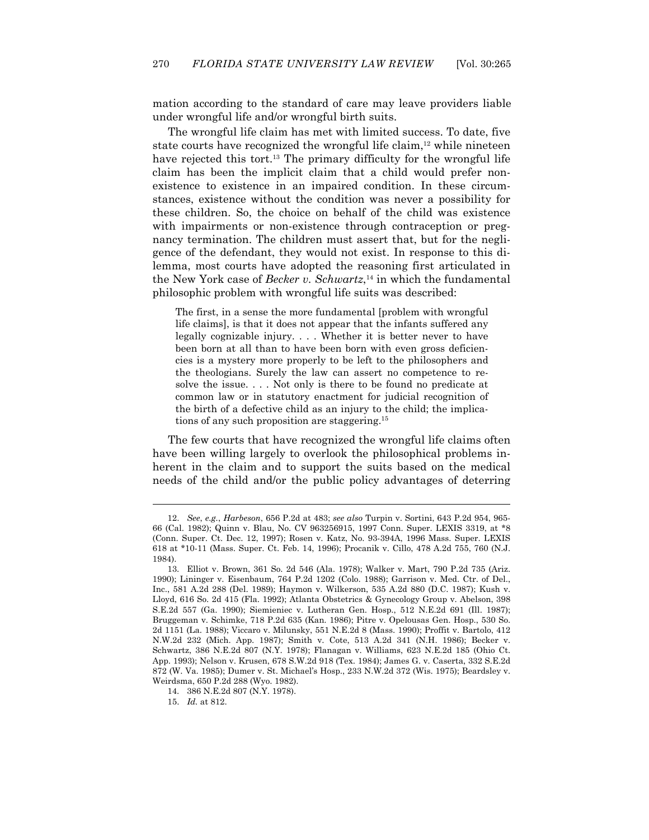mation according to the standard of care may leave providers liable under wrongful life and/or wrongful birth suits.

 The wrongful life claim has met with limited success. To date, five state courts have recognized the wrongful life claim, $12$  while nineteen have rejected this tort.<sup>13</sup> The primary difficulty for the wrongful life claim has been the implicit claim that a child would prefer nonexistence to existence in an impaired condition. In these circumstances, existence without the condition was never a possibility for these children. So, the choice on behalf of the child was existence with impairments or non-existence through contraception or pregnancy termination. The children must assert that, but for the negligence of the defendant, they would not exist. In response to this dilemma, most courts have adopted the reasoning first articulated in the New York case of *Becker v. Schwartz*, 14 in which the fundamental philosophic problem with wrongful life suits was described:

The first, in a sense the more fundamental [problem with wrongful life claims], is that it does not appear that the infants suffered any legally cognizable injury. . . . Whether it is better never to have been born at all than to have been born with even gross deficiencies is a mystery more properly to be left to the philosophers and the theologians. Surely the law can assert no competence to resolve the issue. . . . Not only is there to be found no predicate at common law or in statutory enactment for judicial recognition of the birth of a defective child as an injury to the child; the implications of any such proposition are staggering.15

 The few courts that have recognized the wrongful life claims often have been willing largely to overlook the philosophical problems inherent in the claim and to support the suits based on the medical needs of the child and/or the public policy advantages of deterring

 <sup>12.</sup> *See*, *e.g.*, *Harbeson*, 656 P.2d at 483; *see also* Turpin v. Sortini, 643 P.2d 954, 965- 66 (Cal. 1982); Quinn v. Blau, No. CV 963256915, 1997 Conn. Super. LEXIS 3319, at \*8 (Conn. Super. Ct. Dec. 12, 1997); Rosen v. Katz, No. 93-394A, 1996 Mass. Super. LEXIS 618 at \*10-11 (Mass. Super. Ct. Feb. 14, 1996); Procanik v. Cillo, 478 A.2d 755, 760 (N.J. 1984).

 <sup>13.</sup> Elliot v. Brown, 361 So. 2d 546 (Ala. 1978); Walker v. Mart, 790 P.2d 735 (Ariz. 1990); Lininger v. Eisenbaum, 764 P.2d 1202 (Colo. 1988); Garrison v. Med. Ctr. of Del., Inc., 581 A.2d 288 (Del. 1989); Haymon v. Wilkerson, 535 A.2d 880 (D.C. 1987); Kush v. Lloyd, 616 So. 2d 415 (Fla. 1992); Atlanta Obstetrics & Gynecology Group v. Abelson, 398 S.E.2d 557 (Ga. 1990); Siemieniec v. Lutheran Gen. Hosp., 512 N.E.2d 691 (Ill. 1987); Bruggeman v. Schimke, 718 P.2d 635 (Kan. 1986); Pitre v. Opelousas Gen. Hosp., 530 So. 2d 1151 (La. 1988); Viccaro v. Milunsky, 551 N.E.2d 8 (Mass. 1990); Proffit v. Bartolo, 412 N.W.2d 232 (Mich. App. 1987); Smith v. Cote, 513 A.2d 341 (N.H. 1986); Becker v. Schwartz, 386 N.E.2d 807 (N.Y. 1978); Flanagan v. Williams, 623 N.E.2d 185 (Ohio Ct. App. 1993); Nelson v. Krusen, 678 S.W.2d 918 (Tex. 1984); James G. v. Caserta, 332 S.E.2d 872 (W. Va. 1985); Dumer v. St. Michael's Hosp., 233 N.W.2d 372 (Wis. 1975); Beardsley v. Weirdsma, 650 P.2d 288 (Wyo. 1982).

 <sup>14. 386</sup> N.E.2d 807 (N.Y. 1978).

 <sup>15.</sup> *Id.* at 812.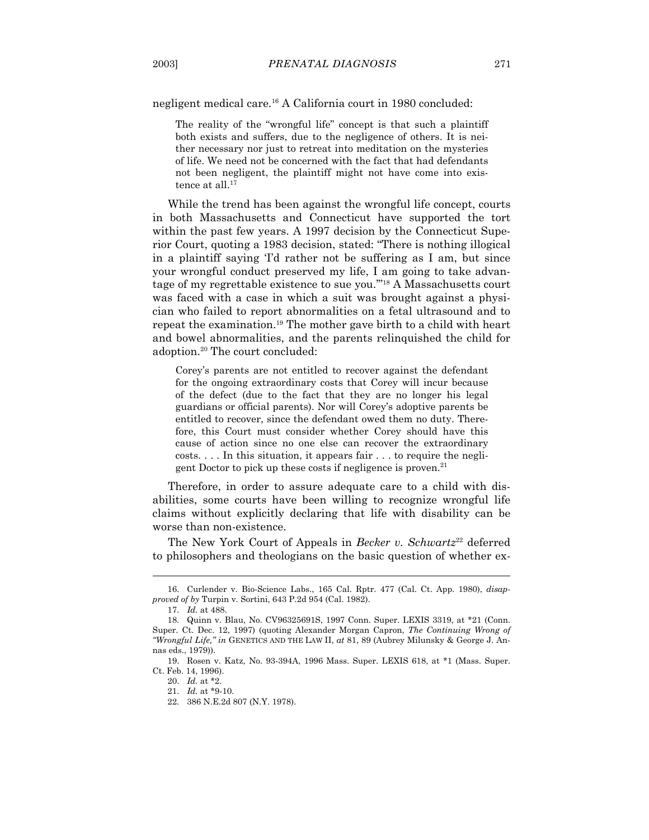negligent medical care.16 A California court in 1980 concluded:

The reality of the "wrongful life" concept is that such a plaintiff both exists and suffers, due to the negligence of others. It is neither necessary nor just to retreat into meditation on the mysteries of life. We need not be concerned with the fact that had defendants not been negligent, the plaintiff might not have come into existence at all.<sup>17</sup>

 While the trend has been against the wrongful life concept, courts in both Massachusetts and Connecticut have supported the tort within the past few years. A 1997 decision by the Connecticut Superior Court, quoting a 1983 decision, stated: "There is nothing illogical in a plaintiff saying 'I'd rather not be suffering as I am, but since your wrongful conduct preserved my life, I am going to take advantage of my regrettable existence to sue you.'"18 A Massachusetts court was faced with a case in which a suit was brought against a physician who failed to report abnormalities on a fetal ultrasound and to repeat the examination.19 The mother gave birth to a child with heart and bowel abnormalities, and the parents relinquished the child for adoption.20 The court concluded:

Corey's parents are not entitled to recover against the defendant for the ongoing extraordinary costs that Corey will incur because of the defect (due to the fact that they are no longer his legal guardians or official parents). Nor will Corey's adoptive parents be entitled to recover, since the defendant owed them no duty. Therefore, this Court must consider whether Corey should have this cause of action since no one else can recover the extraordinary costs. . . . In this situation, it appears fair . . . to require the negligent Doctor to pick up these costs if negligence is proven.<sup>21</sup>

 Therefore, in order to assure adequate care to a child with disabilities, some courts have been willing to recognize wrongful life claims without explicitly declaring that life with disability can be worse than non-existence.

The New York Court of Appeals in *Becker v. Schwartz*<sup>22</sup> deferred to philosophers and theologians on the basic question of whether ex-

 <sup>16.</sup> Curlender v. Bio-Science Labs., 165 Cal. Rptr. 477 (Cal. Ct. App. 1980), *disapproved of by* Turpin v. Sortini, 643 P.2d 954 (Cal. 1982).

 <sup>17.</sup> *Id.* at 488.

 <sup>18.</sup> Quinn v. Blau, No. CV96325691S, 1997 Conn. Super. LEXIS 3319, at \*21 (Conn. Super. Ct. Dec. 12, 1997) (quoting Alexander Morgan Capron, *The Continuing Wrong of "Wrongful Life," in* GENETICS AND THE LAW II, *at* 81, 89 (Aubrey Milunsky & George J. Annas eds., 1979)).

 <sup>19.</sup> Rosen v. Katz, No. 93-394A, 1996 Mass. Super. LEXIS 618, at \*1 (Mass. Super. Ct. Feb. 14, 1996).

 <sup>20.</sup> *Id.* at \*2.

 <sup>21.</sup> *Id.* at \*9-10.

 <sup>22. 386</sup> N.E.2d 807 (N.Y. 1978).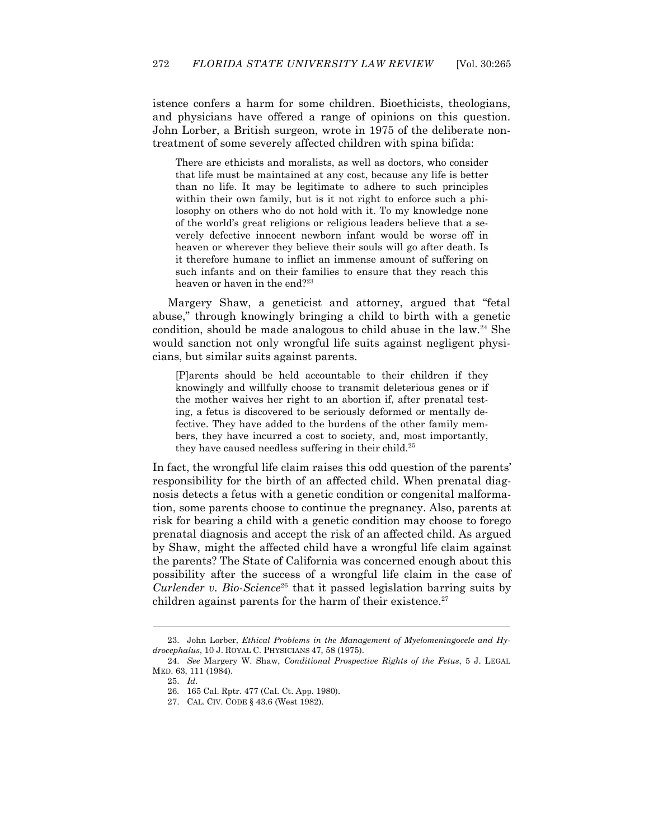istence confers a harm for some children. Bioethicists, theologians, and physicians have offered a range of opinions on this question. John Lorber, a British surgeon, wrote in 1975 of the deliberate nontreatment of some severely affected children with spina bifida:

There are ethicists and moralists, as well as doctors, who consider that life must be maintained at any cost, because any life is better than no life. It may be legitimate to adhere to such principles within their own family, but is it not right to enforce such a philosophy on others who do not hold with it. To my knowledge none of the world's great religions or religious leaders believe that a severely defective innocent newborn infant would be worse off in heaven or wherever they believe their souls will go after death. Is it therefore humane to inflict an immense amount of suffering on such infants and on their families to ensure that they reach this heaven or haven in the end?<sup>23</sup>

 Margery Shaw, a geneticist and attorney, argued that "fetal abuse," through knowingly bringing a child to birth with a genetic condition, should be made analogous to child abuse in the law.24 She would sanction not only wrongful life suits against negligent physicians, but similar suits against parents.

[P]arents should be held accountable to their children if they knowingly and willfully choose to transmit deleterious genes or if the mother waives her right to an abortion if, after prenatal testing, a fetus is discovered to be seriously deformed or mentally defective. They have added to the burdens of the other family members, they have incurred a cost to society, and, most importantly, they have caused needless suffering in their child.<sup>25</sup>

In fact, the wrongful life claim raises this odd question of the parents' responsibility for the birth of an affected child. When prenatal diagnosis detects a fetus with a genetic condition or congenital malformation, some parents choose to continue the pregnancy. Also, parents at risk for bearing a child with a genetic condition may choose to forego prenatal diagnosis and accept the risk of an affected child. As argued by Shaw, might the affected child have a wrongful life claim against the parents? The State of California was concerned enough about this possibility after the success of a wrongful life claim in the case of *Curlender v. Bio-Science*<sup>26</sup> that it passed legislation barring suits by children against parents for the harm of their existence.<sup>27</sup>

 <sup>23.</sup> John Lorber, *Ethical Problems in the Management of Myelomeningocele and Hydrocephalus*, 10 J. ROYAL C. PHYSICIANS 47, 58 (1975).

 <sup>24.</sup> *See* Margery W. Shaw, *Conditional Prospective Rights of the Fetus*, 5 J. LEGAL MED. 63, 111 (1984).

 <sup>25.</sup> *Id.*

 <sup>26. 165</sup> Cal. Rptr. 477 (Cal. Ct. App. 1980).

 <sup>27.</sup> CAL. CIV. CODE § 43.6 (West 1982).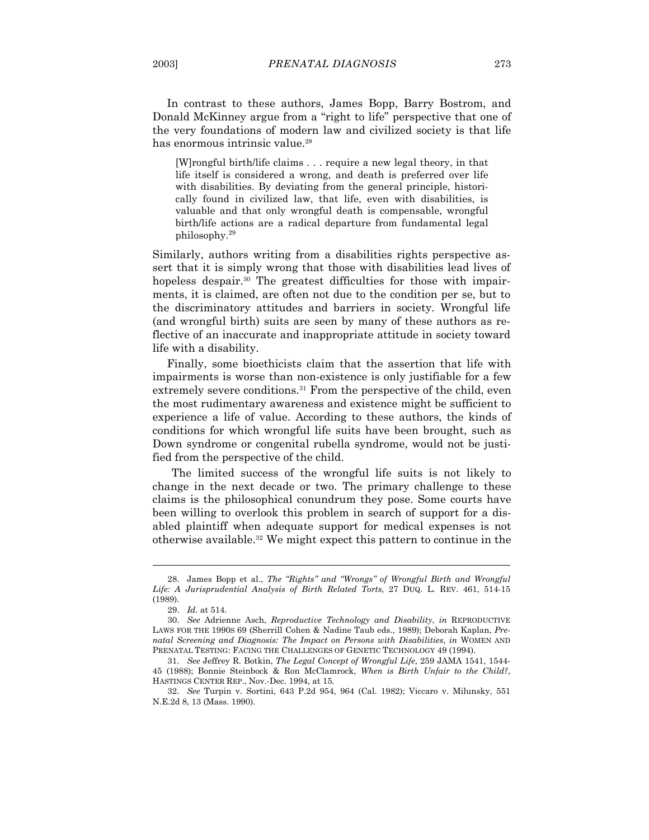In contrast to these authors, James Bopp, Barry Bostrom, and Donald McKinney argue from a "right to life" perspective that one of the very foundations of modern law and civilized society is that life has enormous intrinsic value.<sup>28</sup>

[W]rongful birth/life claims . . . require a new legal theory, in that life itself is considered a wrong, and death is preferred over life with disabilities. By deviating from the general principle, historically found in civilized law, that life, even with disabilities, is valuable and that only wrongful death is compensable, wrongful birth/life actions are a radical departure from fundamental legal philosophy.29

Similarly, authors writing from a disabilities rights perspective assert that it is simply wrong that those with disabilities lead lives of hopeless despair.<sup>30</sup> The greatest difficulties for those with impairments, it is claimed, are often not due to the condition per se, but to the discriminatory attitudes and barriers in society. Wrongful life (and wrongful birth) suits are seen by many of these authors as reflective of an inaccurate and inappropriate attitude in society toward life with a disability.

 Finally, some bioethicists claim that the assertion that life with impairments is worse than non-existence is only justifiable for a few extremely severe conditions.<sup>31</sup> From the perspective of the child, even the most rudimentary awareness and existence might be sufficient to experience a life of value. According to these authors, the kinds of conditions for which wrongful life suits have been brought, such as Down syndrome or congenital rubella syndrome, would not be justified from the perspective of the child.

The limited success of the wrongful life suits is not likely to change in the next decade or two. The primary challenge to these claims is the philosophical conundrum they pose. Some courts have been willing to overlook this problem in search of support for a disabled plaintiff when adequate support for medical expenses is not otherwise available.32 We might expect this pattern to continue in the

 <sup>28.</sup> James Bopp et al., *The "Rights" and "Wrongs" of Wrongful Birth and Wrongful Life: A Jurisprudential Analysis of Birth Related Torts*, 27 DUQ. L. REV. 461, 514-15 (1989).

 <sup>29.</sup> *Id.* at 514*.*

 <sup>30.</sup> *See* Adrienne Asch, *Reproductive Technology and Disability*, *in* REPRODUCTIVE LAWS FOR THE 1990S 69 (Sherrill Cohen & Nadine Taub eds., 1989); Deborah Kaplan, *Prenatal Screening and Diagnosis: The Impact on Persons with Disabilities*, *in* WOMEN AND PRENATAL TESTING: FACING THE CHALLENGES OF GENETIC TECHNOLOGY 49 (1994).

 <sup>31.</sup> *See* Jeffrey R. Botkin, *The Legal Concept of Wrongful Life*, 259 JAMA 1541, 1544- 45 (1988); Bonnie Steinbock & Ron McClamrock, *When is Birth Unfair to the Child?*, HASTINGS CENTER REP., Nov.-Dec. 1994, at 15.

 <sup>32.</sup> *See* Turpin v. Sortini, 643 P.2d 954, 964 (Cal. 1982); Viccaro v. Milunsky, 551 N.E.2d 8, 13 (Mass. 1990).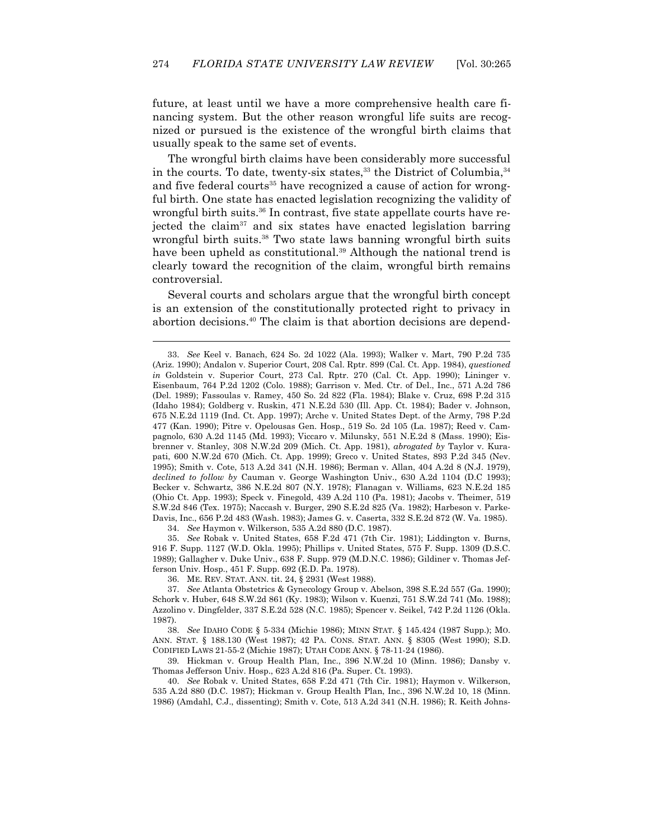future, at least until we have a more comprehensive health care financing system. But the other reason wrongful life suits are recognized or pursued is the existence of the wrongful birth claims that usually speak to the same set of events.

 The wrongful birth claims have been considerably more successful in the courts. To date, twenty-six states,  $33$  the District of Columbia,  $34$ and five federal courts<sup>35</sup> have recognized a cause of action for wrongful birth. One state has enacted legislation recognizing the validity of wrongful birth suits.<sup>36</sup> In contrast, five state appellate courts have rejected the claim37 and six states have enacted legislation barring wrongful birth suits.<sup>38</sup> Two state laws banning wrongful birth suits have been upheld as constitutional.<sup>39</sup> Although the national trend is clearly toward the recognition of the claim, wrongful birth remains controversial.

 Several courts and scholars argue that the wrongful birth concept is an extension of the constitutionally protected right to privacy in abortion decisions.40 The claim is that abortion decisions are depend-

34. *See* Haymon v. Wilkerson, 535 A.2d 880 (D.C. 1987).

-

 35. *See* Robak v. United States, 658 F.2d 471 (7th Cir. 1981); Liddington v. Burns, 916 F. Supp. 1127 (W.D. Okla. 1995); Phillips v. United States, 575 F. Supp. 1309 (D.S.C. 1989); Gallagher v. Duke Univ., 638 F. Supp. 979 (M.D.N.C. 1986); Gildiner v. Thomas Jefferson Univ. Hosp., 451 F. Supp. 692 (E.D. Pa. 1978).

36. ME. REV. STAT. ANN. tit. 24, § 2931 (West 1988).

 37. *See* Atlanta Obstetrics & Gynecology Group v. Abelson, 398 S.E.2d 557 (Ga. 1990); Schork v. Huber, 648 S.W.2d 861 (Ky. 1983); Wilson v. Kuenzi, 751 S.W.2d 741 (Mo. 1988); Azzolino v. Dingfelder, 337 S.E.2d 528 (N.C. 1985); Spencer v. Seikel, 742 P.2d 1126 (Okla. 1987).

 38. *See* IDAHO CODE § 5-334 (Michie 1986); MINN STAT. § 145.424 (1987 Supp.); MO. ANN. STAT. § 188.130 (West 1987); 42 PA. CONS. STAT. ANN. § 8305 (West 1990); S.D. CODIFIED LAWS 21-55-2 (Michie 1987); UTAH CODE ANN. § 78-11-24 (1986).

 39. Hickman v. Group Health Plan, Inc., 396 N.W.2d 10 (Minn. 1986); Dansby v. Thomas Jefferson Univ. Hosp., 623 A.2d 816 (Pa. Super. Ct. 1993).

 40. *See* Robak v. United States, 658 F.2d 471 (7th Cir. 1981); Haymon v. Wilkerson, 535 A.2d 880 (D.C. 1987); Hickman v. Group Health Plan, Inc., 396 N.W.2d 10, 18 (Minn. 1986) (Amdahl, C.J., dissenting); Smith v. Cote, 513 A.2d 341 (N.H. 1986); R. Keith Johns-

 <sup>33.</sup> *See* Keel v. Banach, 624 So. 2d 1022 (Ala. 1993); Walker v. Mart, 790 P.2d 735 (Ariz. 1990); Andalon v. Superior Court, 208 Cal. Rptr. 899 (Cal. Ct. App. 1984), *questioned in* Goldstein v. Superior Court, 273 Cal. Rptr. 270 (Cal. Ct. App. 1990); Lininger v. Eisenbaum, 764 P.2d 1202 (Colo. 1988); Garrison v. Med. Ctr. of Del., Inc., 571 A.2d 786 (Del. 1989); Fassoulas v. Ramey, 450 So. 2d 822 (Fla. 1984); Blake v. Cruz, 698 P.2d 315 (Idaho 1984); Goldberg v. Ruskin, 471 N.E.2d 530 (Ill. App. Ct. 1984); Bader v. Johnson, 675 N.E.2d 1119 (Ind. Ct. App. 1997); Arche v. United States Dept. of the Army, 798 P.2d 477 (Kan. 1990); Pitre v. Opelousas Gen. Hosp., 519 So. 2d 105 (La. 1987); Reed v. Campagnolo, 630 A.2d 1145 (Md. 1993); Viccaro v. Milunsky, 551 N.E.2d 8 (Mass. 1990); Eisbrenner v. Stanley, 308 N.W.2d 209 (Mich. Ct. App. 1981), *abrogated by* Taylor v. Kurapati, 600 N.W.2d 670 (Mich. Ct. App. 1999); Greco v. United States, 893 P.2d 345 (Nev. 1995); Smith v. Cote, 513 A.2d 341 (N.H. 1986); Berman v. Allan, 404 A.2d 8 (N.J. 1979), *declined to follow by* Cauman v. George Washington Univ., 630 A.2d 1104 (D.C 1993); Becker v. Schwartz, 386 N.E.2d 807 (N.Y. 1978); Flanagan v. Williams, 623 N.E.2d 185 (Ohio Ct. App. 1993); Speck v. Finegold, 439 A.2d 110 (Pa. 1981); Jacobs v. Theimer, 519 S.W.2d 846 (Tex. 1975); Naccash v. Burger, 290 S.E.2d 825 (Va. 1982); Harbeson v. Parke-Davis, Inc., 656 P.2d 483 (Wash. 1983); James G. v. Caserta, 332 S.E.2d 872 (W. Va. 1985).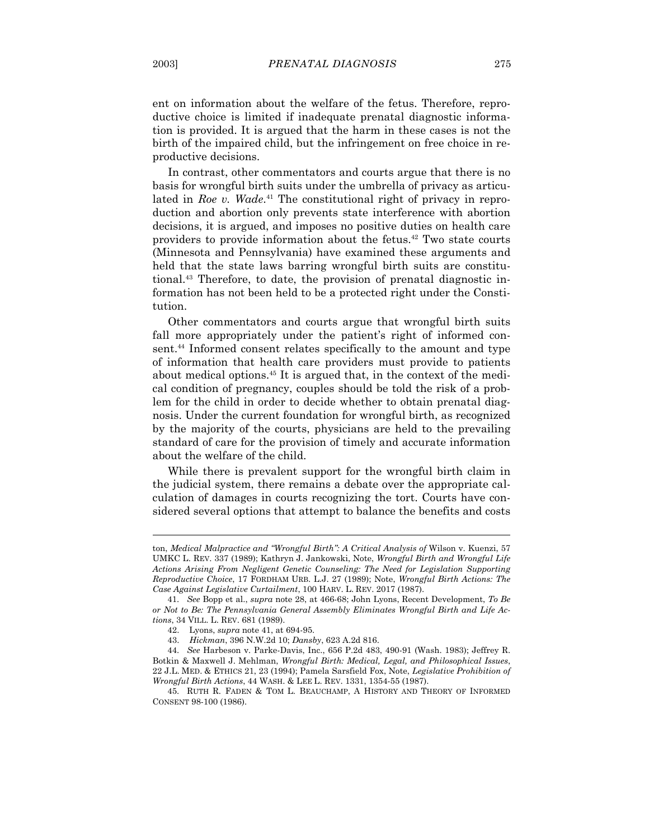ent on information about the welfare of the fetus. Therefore, reproductive choice is limited if inadequate prenatal diagnostic information is provided. It is argued that the harm in these cases is not the birth of the impaired child, but the infringement on free choice in reproductive decisions.

 In contrast, other commentators and courts argue that there is no basis for wrongful birth suits under the umbrella of privacy as articulated in *Roe v. Wade*. 41 The constitutional right of privacy in reproduction and abortion only prevents state interference with abortion decisions, it is argued, and imposes no positive duties on health care providers to provide information about the fetus.42 Two state courts (Minnesota and Pennsylvania) have examined these arguments and held that the state laws barring wrongful birth suits are constitutional.43 Therefore, to date, the provision of prenatal diagnostic information has not been held to be a protected right under the Constitution.

 Other commentators and courts argue that wrongful birth suits fall more appropriately under the patient's right of informed consent.<sup>44</sup> Informed consent relates specifically to the amount and type of information that health care providers must provide to patients about medical options.45 It is argued that, in the context of the medical condition of pregnancy, couples should be told the risk of a problem for the child in order to decide whether to obtain prenatal diagnosis. Under the current foundation for wrongful birth, as recognized by the majority of the courts, physicians are held to the prevailing standard of care for the provision of timely and accurate information about the welfare of the child.

 While there is prevalent support for the wrongful birth claim in the judicial system, there remains a debate over the appropriate calculation of damages in courts recognizing the tort. Courts have considered several options that attempt to balance the benefits and costs

ton, *Medical Malpractice and "Wrongful Birth": A Critical Analysis of* Wilson v. Kuenzi, 57 UMKC L. REV. 337 (1989); Kathryn J. Jankowski, Note, *Wrongful Birth and Wrongful Life Actions Arising From Negligent Genetic Counseling: The Need for Legislation Supporting Reproductive Choice*, 17 FORDHAM URB. L.J. 27 (1989); Note, *Wrongful Birth Actions: The Case Against Legislative Curtailment*, 100 HARV. L. REV. 2017 (1987).

 <sup>41.</sup> *See* Bopp et al., *supra* note 28, at 466-68; John Lyons, Recent Development, *To Be or Not to Be: The Pennsylvania General Assembly Eliminates Wrongful Birth and Life Actions*, 34 VILL. L. REV. 681 (1989).

 <sup>42.</sup> Lyons, *supra* note 41, at 694-95.

 <sup>43.</sup> *Hickman*, 396 N.W.2d 10; *Dansby*, 623 A.2d 816.

 <sup>44.</sup> *See* Harbeson v. Parke-Davis, Inc., 656 P.2d 483, 490-91 (Wash. 1983); Jeffrey R. Botkin & Maxwell J. Mehlman, *Wrongful Birth: Medical, Legal, and Philosophical Issues*, 22 J.L. MED. & ETHICS 21, 23 (1994); Pamela Sarsfield Fox, Note, *Legislative Prohibition of Wrongful Birth Actions*, 44 WASH. & LEE L. REV. 1331, 1354-55 (1987).

 <sup>45.</sup> RUTH R. FADEN & TOM L. BEAUCHAMP, A HISTORY AND THEORY OF INFORMED CONSENT 98-100 (1986).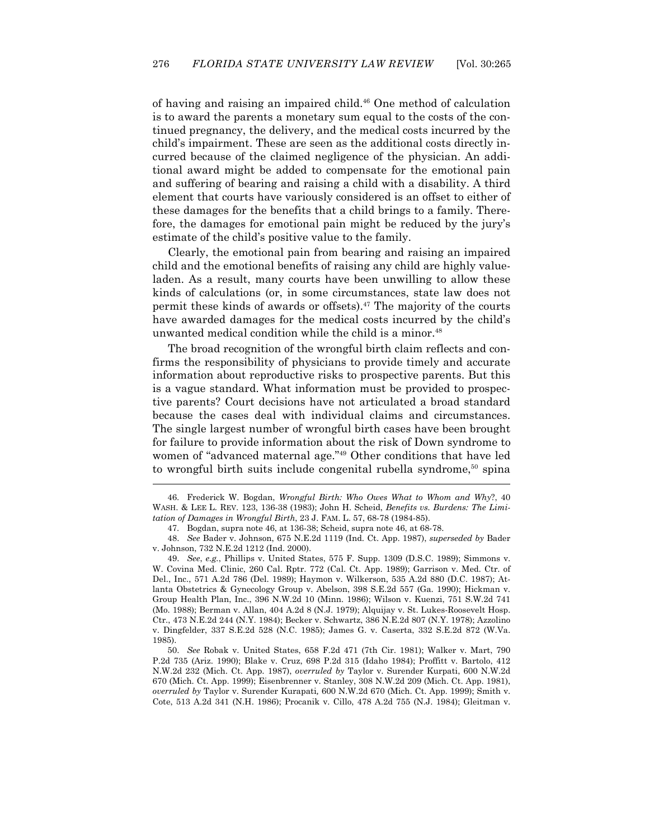of having and raising an impaired child.46 One method of calculation is to award the parents a monetary sum equal to the costs of the continued pregnancy, the delivery, and the medical costs incurred by the child's impairment. These are seen as the additional costs directly incurred because of the claimed negligence of the physician. An additional award might be added to compensate for the emotional pain and suffering of bearing and raising a child with a disability. A third element that courts have variously considered is an offset to either of these damages for the benefits that a child brings to a family. Therefore, the damages for emotional pain might be reduced by the jury's estimate of the child's positive value to the family.

 Clearly, the emotional pain from bearing and raising an impaired child and the emotional benefits of raising any child are highly valueladen. As a result, many courts have been unwilling to allow these kinds of calculations (or, in some circumstances, state law does not permit these kinds of awards or offsets).47 The majority of the courts have awarded damages for the medical costs incurred by the child's unwanted medical condition while the child is a minor.<sup>48</sup>

 The broad recognition of the wrongful birth claim reflects and confirms the responsibility of physicians to provide timely and accurate information about reproductive risks to prospective parents. But this is a vague standard. What information must be provided to prospective parents? Court decisions have not articulated a broad standard because the cases deal with individual claims and circumstances. The single largest number of wrongful birth cases have been brought for failure to provide information about the risk of Down syndrome to women of "advanced maternal age."49 Other conditions that have led to wrongful birth suits include congenital rubella syndrome,<sup>50</sup> spina

 $\overline{a}$ 

 48. *See* Bader v. Johnson, 675 N.E.2d 1119 (Ind. Ct. App. 1987), *superseded by* Bader v. Johnson, 732 N.E.2d 1212 (Ind. 2000).

 49. *See*, *e.g.*, Phillips v. United States, 575 F. Supp. 1309 (D.S.C. 1989); Simmons v. W. Covina Med. Clinic, 260 Cal. Rptr. 772 (Cal. Ct. App. 1989); Garrison v. Med. Ctr. of Del., Inc., 571 A.2d 786 (Del. 1989); Haymon v. Wilkerson, 535 A.2d 880 (D.C. 1987); Atlanta Obstetrics & Gynecology Group v. Abelson, 398 S.E.2d 557 (Ga. 1990); Hickman v. Group Health Plan, Inc., 396 N.W.2d 10 (Minn. 1986); Wilson v. Kuenzi, 751 S.W.2d 741 (Mo. 1988); Berman v. Allan, 404 A.2d 8 (N.J. 1979); Alquijay v. St. Lukes-Roosevelt Hosp. Ctr., 473 N.E.2d 244 (N.Y. 1984); Becker v. Schwartz, 386 N.E.2d 807 (N.Y. 1978); Azzolino v. Dingfelder, 337 S.E.2d 528 (N.C. 1985); James G. v. Caserta, 332 S.E.2d 872 (W.Va. 1985).

 50. *See* Robak v. United States, 658 F.2d 471 (7th Cir. 1981); Walker v. Mart, 790 P.2d 735 (Ariz. 1990); Blake v. Cruz, 698 P.2d 315 (Idaho 1984); Proffitt v. Bartolo, 412 N.W.2d 232 (Mich. Ct. App. 1987), *overruled by* Taylor v. Surender Kurpati, 600 N.W.2d 670 (Mich. Ct. App. 1999); Eisenbrenner v. Stanley, 308 N.W.2d 209 (Mich. Ct. App. 1981), *overruled by* Taylor v. Surender Kurapati*,* 600 N.W.2d 670 (Mich. Ct. App. 1999); Smith v. Cote, 513 A.2d 341 (N.H. 1986); Procanik v. Cillo, 478 A.2d 755 (N.J. 1984); Gleitman v.

 <sup>46.</sup> Frederick W. Bogdan, *Wrongful Birth: Who Owes What to Whom and Why*?, 40 WASH. & LEE L. REV. 123, 136-38 (1983); John H. Scheid, *Benefits vs. Burdens: The Limitation of Damages in Wrongful Birth*, 23 J. FAM. L. 57, 68-78 (1984-85).

 <sup>47.</sup> Bogdan, supra note 46, at 136-38; Scheid, supra note 46, at 68-78.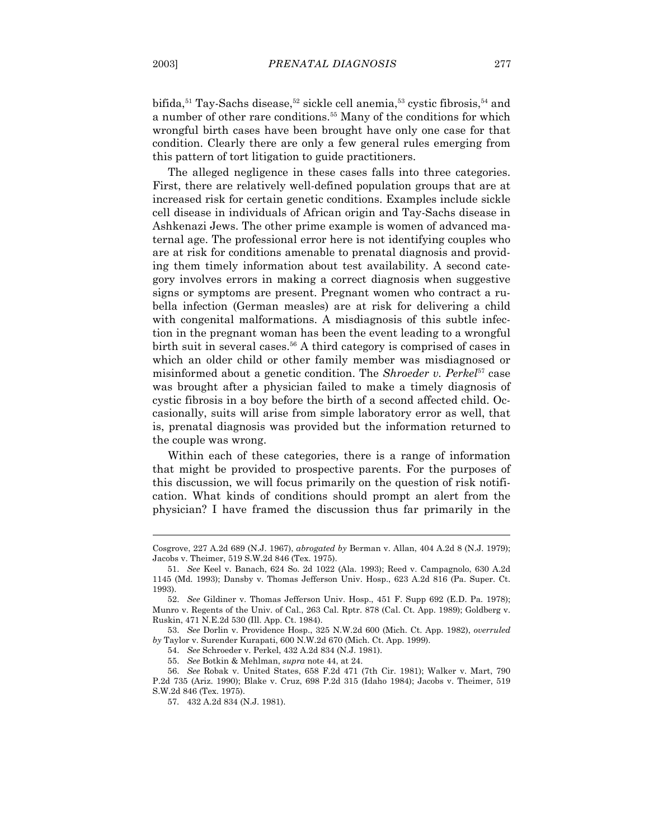bifida,<sup>51</sup> Tay-Sachs disease,<sup>52</sup> sickle cell anemia,<sup>53</sup> cystic fibrosis,<sup>54</sup> and a number of other rare conditions.55 Many of the conditions for which wrongful birth cases have been brought have only one case for that condition. Clearly there are only a few general rules emerging from this pattern of tort litigation to guide practitioners.

 The alleged negligence in these cases falls into three categories. First, there are relatively well-defined population groups that are at increased risk for certain genetic conditions. Examples include sickle cell disease in individuals of African origin and Tay-Sachs disease in Ashkenazi Jews. The other prime example is women of advanced maternal age. The professional error here is not identifying couples who are at risk for conditions amenable to prenatal diagnosis and providing them timely information about test availability. A second category involves errors in making a correct diagnosis when suggestive signs or symptoms are present. Pregnant women who contract a rubella infection (German measles) are at risk for delivering a child with congenital malformations. A misdiagnosis of this subtle infection in the pregnant woman has been the event leading to a wrongful birth suit in several cases.<sup>56</sup> A third category is comprised of cases in which an older child or other family member was misdiagnosed or misinformed about a genetic condition. The *Shroeder v. Perkel*57 case was brought after a physician failed to make a timely diagnosis of cystic fibrosis in a boy before the birth of a second affected child. Occasionally, suits will arise from simple laboratory error as well, that is, prenatal diagnosis was provided but the information returned to the couple was wrong.

 Within each of these categories, there is a range of information that might be provided to prospective parents. For the purposes of this discussion, we will focus primarily on the question of risk notification. What kinds of conditions should prompt an alert from the physician? I have framed the discussion thus far primarily in the

Cosgrove, 227 A.2d 689 (N.J. 1967), *abrogated by* Berman v. Allan, 404 A.2d 8 (N.J. 1979); Jacobs v. Theimer, 519 S.W.2d 846 (Tex. 1975).

 <sup>51.</sup> *See* Keel v. Banach, 624 So. 2d 1022 (Ala. 1993); Reed v. Campagnolo, 630 A.2d 1145 (Md. 1993); Dansby v. Thomas Jefferson Univ. Hosp., 623 A.2d 816 (Pa. Super. Ct. 1993).

 <sup>52.</sup> *See* Gildiner v. Thomas Jefferson Univ. Hosp., 451 F. Supp 692 (E.D. Pa. 1978); Munro v. Regents of the Univ. of Cal., 263 Cal. Rptr. 878 (Cal. Ct. App. 1989); Goldberg v. Ruskin, 471 N.E.2d 530 (Ill. App. Ct. 1984).

 <sup>53.</sup> *See* Dorlin v. Providence Hosp., 325 N.W.2d 600 (Mich. Ct. App. 1982), *overruled by* Taylor v. Surender Kurapati, 600 N.W.2d 670 (Mich. Ct. App. 1999).

 <sup>54.</sup> *See* Schroeder v. Perkel, 432 A.2d 834 (N.J. 1981).

 <sup>55.</sup> *See* Botkin & Mehlman, *supra* note 44, at 24.

 <sup>56.</sup> *See* Robak v. United States, 658 F.2d 471 (7th Cir. 1981); Walker v. Mart, 790 P.2d 735 (Ariz. 1990); Blake v. Cruz, 698 P.2d 315 (Idaho 1984); Jacobs v. Theimer, 519 S.W.2d 846 (Tex. 1975).

 <sup>57. 432</sup> A.2d 834 (N.J. 1981).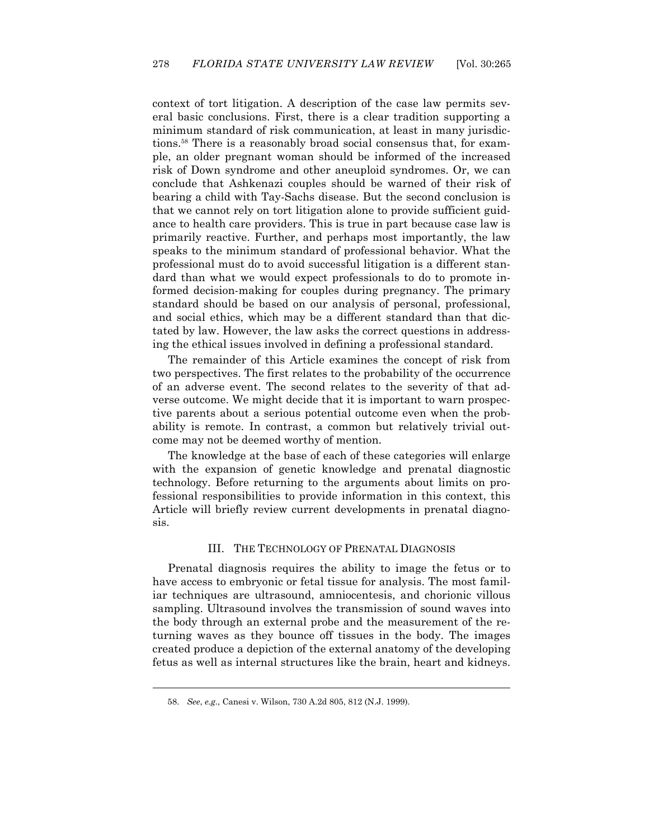context of tort litigation. A description of the case law permits several basic conclusions. First, there is a clear tradition supporting a minimum standard of risk communication, at least in many jurisdictions.58 There is a reasonably broad social consensus that, for example, an older pregnant woman should be informed of the increased risk of Down syndrome and other aneuploid syndromes. Or, we can conclude that Ashkenazi couples should be warned of their risk of bearing a child with Tay-Sachs disease. But the second conclusion is that we cannot rely on tort litigation alone to provide sufficient guidance to health care providers. This is true in part because case law is primarily reactive. Further, and perhaps most importantly, the law speaks to the minimum standard of professional behavior. What the professional must do to avoid successful litigation is a different standard than what we would expect professionals to do to promote informed decision-making for couples during pregnancy. The primary standard should be based on our analysis of personal, professional, and social ethics, which may be a different standard than that dictated by law. However, the law asks the correct questions in addressing the ethical issues involved in defining a professional standard.

 The remainder of this Article examines the concept of risk from two perspectives. The first relates to the probability of the occurrence of an adverse event. The second relates to the severity of that adverse outcome. We might decide that it is important to warn prospective parents about a serious potential outcome even when the probability is remote. In contrast, a common but relatively trivial outcome may not be deemed worthy of mention.

 The knowledge at the base of each of these categories will enlarge with the expansion of genetic knowledge and prenatal diagnostic technology. Before returning to the arguments about limits on professional responsibilities to provide information in this context, this Article will briefly review current developments in prenatal diagnosis.

### III. THE TECHNOLOGY OF PRENATAL DIAGNOSIS

 Prenatal diagnosis requires the ability to image the fetus or to have access to embryonic or fetal tissue for analysis. The most familiar techniques are ultrasound, amniocentesis, and chorionic villous sampling. Ultrasound involves the transmission of sound waves into the body through an external probe and the measurement of the returning waves as they bounce off tissues in the body. The images created produce a depiction of the external anatomy of the developing fetus as well as internal structures like the brain, heart and kidneys.

 <sup>58.</sup> *See*, *e.g.*, Canesi v. Wilson, 730 A.2d 805, 812 (N.J. 1999).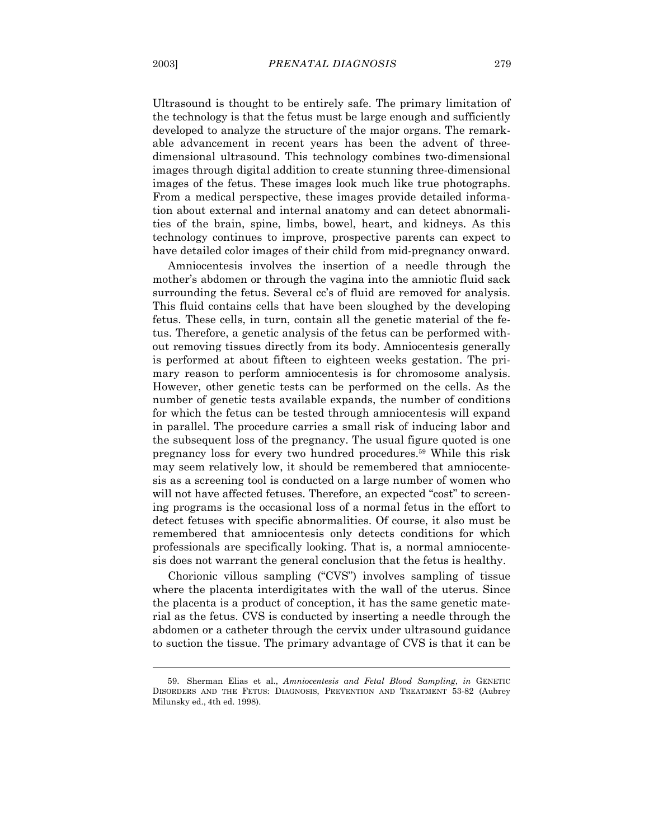Ultrasound is thought to be entirely safe. The primary limitation of the technology is that the fetus must be large enough and sufficiently developed to analyze the structure of the major organs. The remarkable advancement in recent years has been the advent of threedimensional ultrasound. This technology combines two-dimensional images through digital addition to create stunning three-dimensional images of the fetus. These images look much like true photographs. From a medical perspective, these images provide detailed information about external and internal anatomy and can detect abnormalities of the brain, spine, limbs, bowel, heart, and kidneys. As this technology continues to improve, prospective parents can expect to have detailed color images of their child from mid-pregnancy onward.

 Amniocentesis involves the insertion of a needle through the mother's abdomen or through the vagina into the amniotic fluid sack surrounding the fetus. Several cc's of fluid are removed for analysis. This fluid contains cells that have been sloughed by the developing fetus. These cells, in turn, contain all the genetic material of the fetus. Therefore, a genetic analysis of the fetus can be performed without removing tissues directly from its body. Amniocentesis generally is performed at about fifteen to eighteen weeks gestation. The primary reason to perform amniocentesis is for chromosome analysis. However, other genetic tests can be performed on the cells. As the number of genetic tests available expands, the number of conditions for which the fetus can be tested through amniocentesis will expand in parallel. The procedure carries a small risk of inducing labor and the subsequent loss of the pregnancy. The usual figure quoted is one pregnancy loss for every two hundred procedures.59 While this risk may seem relatively low, it should be remembered that amniocentesis as a screening tool is conducted on a large number of women who will not have affected fetuses. Therefore, an expected "cost" to screening programs is the occasional loss of a normal fetus in the effort to detect fetuses with specific abnormalities. Of course, it also must be remembered that amniocentesis only detects conditions for which professionals are specifically looking. That is, a normal amniocentesis does not warrant the general conclusion that the fetus is healthy.

 Chorionic villous sampling ("CVS") involves sampling of tissue where the placenta interdigitates with the wall of the uterus. Since the placenta is a product of conception, it has the same genetic material as the fetus. CVS is conducted by inserting a needle through the abdomen or a catheter through the cervix under ultrasound guidance to suction the tissue. The primary advantage of CVS is that it can be

 <sup>59.</sup> Sherman Elias et al., *Amniocentesis and Fetal Blood Sampling*, *in* GENETIC DISORDERS AND THE FETUS: DIAGNOSIS, PREVENTION AND TREATMENT 53-82 (Aubrey Milunsky ed., 4th ed. 1998).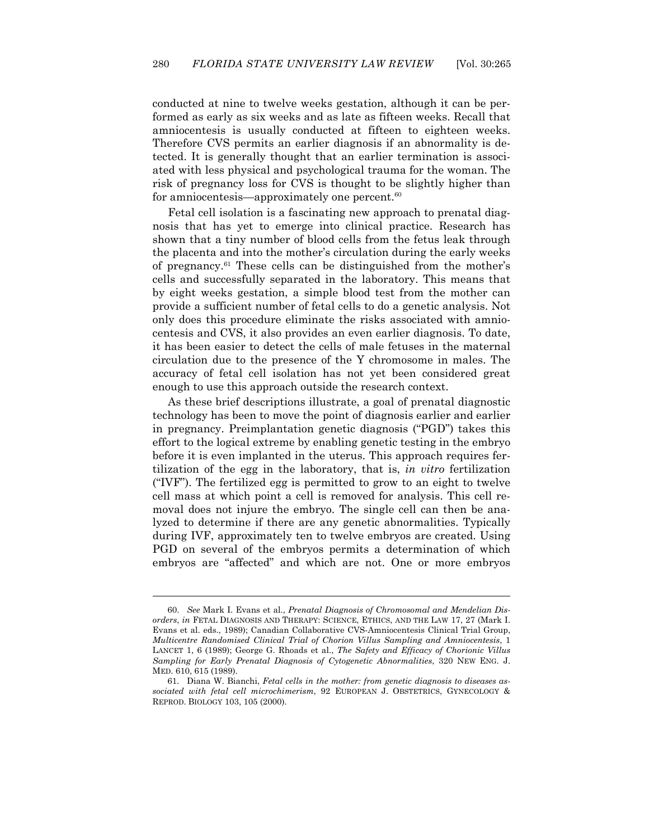conducted at nine to twelve weeks gestation, although it can be performed as early as six weeks and as late as fifteen weeks. Recall that amniocentesis is usually conducted at fifteen to eighteen weeks. Therefore CVS permits an earlier diagnosis if an abnormality is detected. It is generally thought that an earlier termination is associated with less physical and psychological trauma for the woman. The risk of pregnancy loss for CVS is thought to be slightly higher than for amniocentesis—approximately one percent.<sup>60</sup>

 Fetal cell isolation is a fascinating new approach to prenatal diagnosis that has yet to emerge into clinical practice. Research has shown that a tiny number of blood cells from the fetus leak through the placenta and into the mother's circulation during the early weeks of pregnancy.61 These cells can be distinguished from the mother's cells and successfully separated in the laboratory. This means that by eight weeks gestation, a simple blood test from the mother can provide a sufficient number of fetal cells to do a genetic analysis. Not only does this procedure eliminate the risks associated with amniocentesis and CVS, it also provides an even earlier diagnosis. To date, it has been easier to detect the cells of male fetuses in the maternal circulation due to the presence of the Y chromosome in males. The accuracy of fetal cell isolation has not yet been considered great enough to use this approach outside the research context.

 As these brief descriptions illustrate, a goal of prenatal diagnostic technology has been to move the point of diagnosis earlier and earlier in pregnancy. Preimplantation genetic diagnosis ("PGD") takes this effort to the logical extreme by enabling genetic testing in the embryo before it is even implanted in the uterus. This approach requires fertilization of the egg in the laboratory, that is, *in vitro* fertilization ("IVF"). The fertilized egg is permitted to grow to an eight to twelve cell mass at which point a cell is removed for analysis. This cell removal does not injure the embryo. The single cell can then be analyzed to determine if there are any genetic abnormalities. Typically during IVF, approximately ten to twelve embryos are created. Using PGD on several of the embryos permits a determination of which embryos are "affected" and which are not. One or more embryos

 <sup>60.</sup> *See* Mark I. Evans et al., *Prenatal Diagnosis of Chromosomal and Mendelian Disorders*, *in* FETAL DIAGNOSIS AND THERAPY: SCIENCE, ETHICS, AND THE LAW 17, 27 (Mark I. Evans et al. eds., 1989); Canadian Collaborative CVS-Amniocentesis Clinical Trial Group, *Multicentre Randomised Clinical Trial of Chorion Villus Sampling and Amniocentesis*, 1 LANCET 1, 6 (1989); George G. Rhoads et al., *The Safety and Efficacy of Chorionic Villus Sampling for Early Prenatal Diagnosis of Cytogenetic Abnormalities*, 320 NEW ENG. J. MED. 610, 615 (1989).

 <sup>61.</sup> Diana W. Bianchi, *Fetal cells in the mother: from genetic diagnosis to diseases associated with fetal cell microchimerism*, 92 EUROPEAN J. OBSTETRICS, GYNECOLOGY & REPROD. BIOLOGY 103, 105 (2000).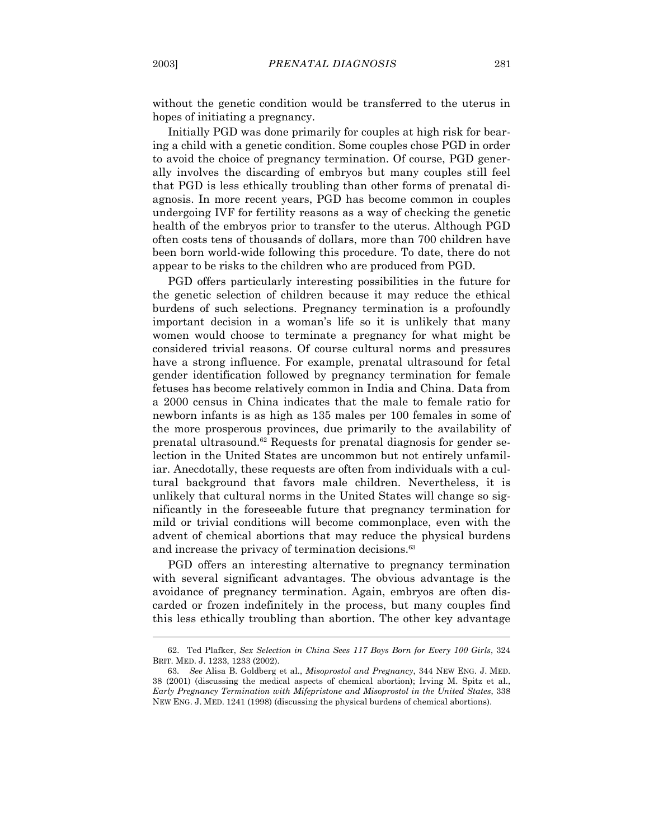without the genetic condition would be transferred to the uterus in hopes of initiating a pregnancy.

 Initially PGD was done primarily for couples at high risk for bearing a child with a genetic condition. Some couples chose PGD in order to avoid the choice of pregnancy termination. Of course, PGD generally involves the discarding of embryos but many couples still feel that PGD is less ethically troubling than other forms of prenatal diagnosis. In more recent years, PGD has become common in couples undergoing IVF for fertility reasons as a way of checking the genetic health of the embryos prior to transfer to the uterus. Although PGD often costs tens of thousands of dollars, more than 700 children have been born world-wide following this procedure. To date, there do not appear to be risks to the children who are produced from PGD.

 PGD offers particularly interesting possibilities in the future for the genetic selection of children because it may reduce the ethical burdens of such selections. Pregnancy termination is a profoundly important decision in a woman's life so it is unlikely that many women would choose to terminate a pregnancy for what might be considered trivial reasons. Of course cultural norms and pressures have a strong influence. For example, prenatal ultrasound for fetal gender identification followed by pregnancy termination for female fetuses has become relatively common in India and China. Data from a 2000 census in China indicates that the male to female ratio for newborn infants is as high as 135 males per 100 females in some of the more prosperous provinces, due primarily to the availability of prenatal ultrasound.62 Requests for prenatal diagnosis for gender selection in the United States are uncommon but not entirely unfamiliar. Anecdotally, these requests are often from individuals with a cultural background that favors male children. Nevertheless, it is unlikely that cultural norms in the United States will change so significantly in the foreseeable future that pregnancy termination for mild or trivial conditions will become commonplace, even with the advent of chemical abortions that may reduce the physical burdens and increase the privacy of termination decisions.<sup>63</sup>

 PGD offers an interesting alternative to pregnancy termination with several significant advantages. The obvious advantage is the avoidance of pregnancy termination. Again, embryos are often discarded or frozen indefinitely in the process, but many couples find this less ethically troubling than abortion. The other key advantage

 <sup>62.</sup> Ted Plafker, *Sex Selection in China Sees 117 Boys Born for Every 100 Girls*, 324 BRIT. MED. J. 1233, 1233 (2002).

 <sup>63.</sup> *See* Alisa B. Goldberg et al., *Misoprostol and Pregnancy*, 344 NEW ENG. J. MED. 38 (2001) (discussing the medical aspects of chemical abortion); Irving M. Spitz et al., *Early Pregnancy Termination with Mifepristone and Misoprostol in the United States*, 338 NEW ENG. J. MED. 1241 (1998) (discussing the physical burdens of chemical abortions).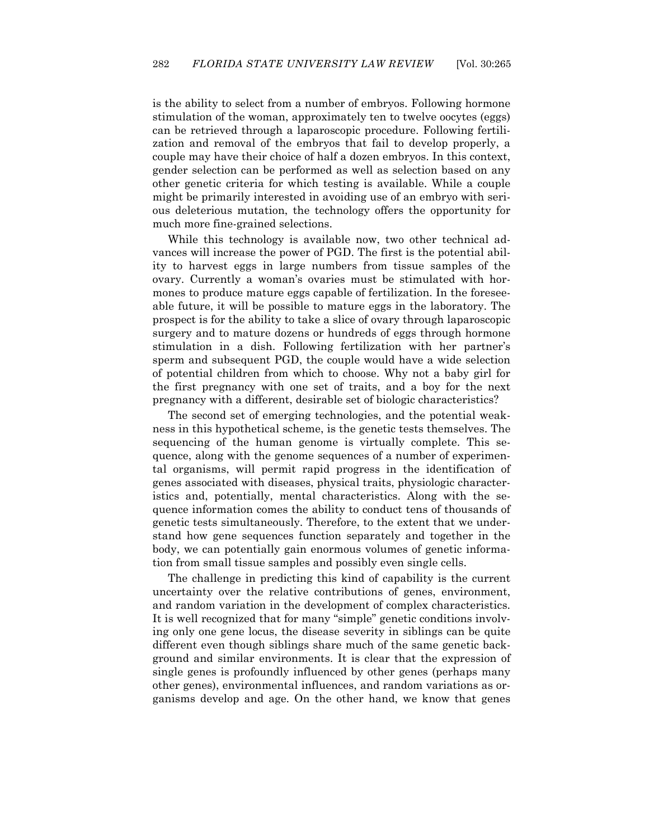is the ability to select from a number of embryos. Following hormone stimulation of the woman, approximately ten to twelve oocytes (eggs) can be retrieved through a laparoscopic procedure. Following fertilization and removal of the embryos that fail to develop properly, a couple may have their choice of half a dozen embryos. In this context, gender selection can be performed as well as selection based on any other genetic criteria for which testing is available. While a couple might be primarily interested in avoiding use of an embryo with serious deleterious mutation, the technology offers the opportunity for much more fine-grained selections.

 While this technology is available now, two other technical advances will increase the power of PGD. The first is the potential ability to harvest eggs in large numbers from tissue samples of the ovary. Currently a woman's ovaries must be stimulated with hormones to produce mature eggs capable of fertilization. In the foreseeable future, it will be possible to mature eggs in the laboratory. The prospect is for the ability to take a slice of ovary through laparoscopic surgery and to mature dozens or hundreds of eggs through hormone stimulation in a dish. Following fertilization with her partner's sperm and subsequent PGD, the couple would have a wide selection of potential children from which to choose. Why not a baby girl for the first pregnancy with one set of traits, and a boy for the next pregnancy with a different, desirable set of biologic characteristics?

 The second set of emerging technologies, and the potential weakness in this hypothetical scheme, is the genetic tests themselves. The sequencing of the human genome is virtually complete. This sequence, along with the genome sequences of a number of experimental organisms, will permit rapid progress in the identification of genes associated with diseases, physical traits, physiologic characteristics and, potentially, mental characteristics. Along with the sequence information comes the ability to conduct tens of thousands of genetic tests simultaneously. Therefore, to the extent that we understand how gene sequences function separately and together in the body, we can potentially gain enormous volumes of genetic information from small tissue samples and possibly even single cells.

 The challenge in predicting this kind of capability is the current uncertainty over the relative contributions of genes, environment, and random variation in the development of complex characteristics. It is well recognized that for many "simple" genetic conditions involving only one gene locus, the disease severity in siblings can be quite different even though siblings share much of the same genetic background and similar environments. It is clear that the expression of single genes is profoundly influenced by other genes (perhaps many other genes), environmental influences, and random variations as organisms develop and age. On the other hand, we know that genes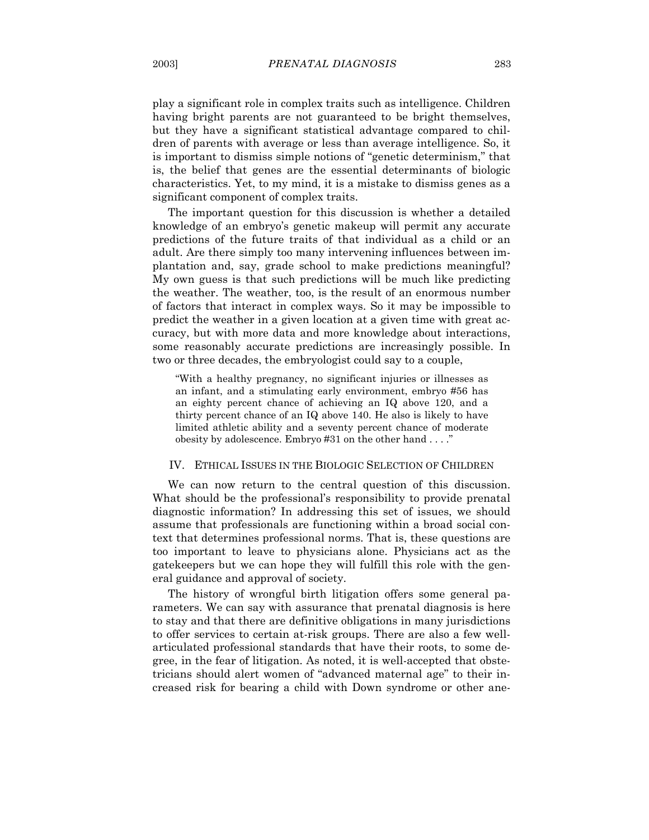play a significant role in complex traits such as intelligence. Children having bright parents are not guaranteed to be bright themselves, but they have a significant statistical advantage compared to children of parents with average or less than average intelligence. So, it is important to dismiss simple notions of "genetic determinism," that is, the belief that genes are the essential determinants of biologic characteristics. Yet, to my mind, it is a mistake to dismiss genes as a significant component of complex traits.

 The important question for this discussion is whether a detailed knowledge of an embryo's genetic makeup will permit any accurate predictions of the future traits of that individual as a child or an adult. Are there simply too many intervening influences between implantation and, say, grade school to make predictions meaningful? My own guess is that such predictions will be much like predicting the weather. The weather, too, is the result of an enormous number of factors that interact in complex ways. So it may be impossible to predict the weather in a given location at a given time with great accuracy, but with more data and more knowledge about interactions, some reasonably accurate predictions are increasingly possible. In two or three decades, the embryologist could say to a couple,

"With a healthy pregnancy, no significant injuries or illnesses as an infant, and a stimulating early environment, embryo #56 has an eighty percent chance of achieving an IQ above 120, and a thirty percent chance of an IQ above 140. He also is likely to have limited athletic ability and a seventy percent chance of moderate obesity by adolescence. Embryo #31 on the other hand . . . ."

#### IV. ETHICAL ISSUES IN THE BIOLOGIC SELECTION OF CHILDREN

 We can now return to the central question of this discussion. What should be the professional's responsibility to provide prenatal diagnostic information? In addressing this set of issues, we should assume that professionals are functioning within a broad social context that determines professional norms. That is, these questions are too important to leave to physicians alone. Physicians act as the gatekeepers but we can hope they will fulfill this role with the general guidance and approval of society.

 The history of wrongful birth litigation offers some general parameters. We can say with assurance that prenatal diagnosis is here to stay and that there are definitive obligations in many jurisdictions to offer services to certain at-risk groups. There are also a few wellarticulated professional standards that have their roots, to some degree, in the fear of litigation. As noted, it is well-accepted that obstetricians should alert women of "advanced maternal age" to their increased risk for bearing a child with Down syndrome or other ane-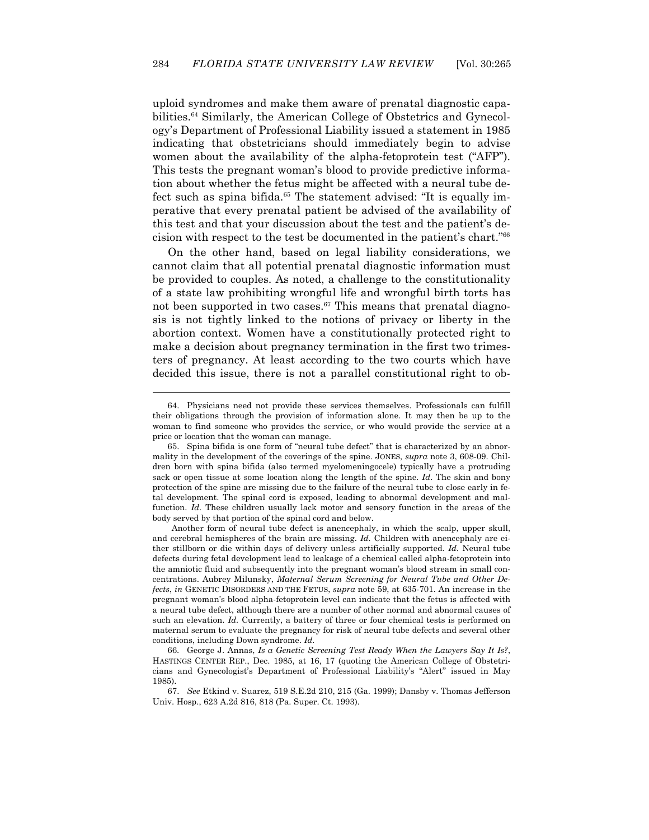uploid syndromes and make them aware of prenatal diagnostic capabilities.64 Similarly, the American College of Obstetrics and Gynecology's Department of Professional Liability issued a statement in 1985 indicating that obstetricians should immediately begin to advise women about the availability of the alpha-fetoprotein test ("AFP"). This tests the pregnant woman's blood to provide predictive information about whether the fetus might be affected with a neural tube defect such as spina bifida.<sup>65</sup> The statement advised: "It is equally imperative that every prenatal patient be advised of the availability of this test and that your discussion about the test and the patient's decision with respect to the test be documented in the patient's chart."66

 On the other hand, based on legal liability considerations, we cannot claim that all potential prenatal diagnostic information must be provided to couples. As noted, a challenge to the constitutionality of a state law prohibiting wrongful life and wrongful birth torts has not been supported in two cases. $67$  This means that prenatal diagnosis is not tightly linked to the notions of privacy or liberty in the abortion context. Women have a constitutionally protected right to make a decision about pregnancy termination in the first two trimesters of pregnancy. At least according to the two courts which have decided this issue, there is not a parallel constitutional right to ob-

 <sup>64.</sup> Physicians need not provide these services themselves. Professionals can fulfill their obligations through the provision of information alone. It may then be up to the woman to find someone who provides the service, or who would provide the service at a price or location that the woman can manage.

 <sup>65.</sup> Spina bifida is one form of "neural tube defect" that is characterized by an abnormality in the development of the coverings of the spine. JONES, *supra* note 3, 608-09. Children born with spina bifida (also termed myelomeningocele) typically have a protruding sack or open tissue at some location along the length of the spine. *Id*. The skin and bony protection of the spine are missing due to the failure of the neural tube to close early in fetal development. The spinal cord is exposed, leading to abnormal development and malfunction. *Id.* These children usually lack motor and sensory function in the areas of the body served by that portion of the spinal cord and below.

Another form of neural tube defect is anencephaly, in which the scalp, upper skull, and cerebral hemispheres of the brain are missing. *Id.* Children with anencephaly are either stillborn or die within days of delivery unless artificially supported. *Id.* Neural tube defects during fetal development lead to leakage of a chemical called alpha-fetoprotein into the amniotic fluid and subsequently into the pregnant woman's blood stream in small concentrations. Aubrey Milunsky, *Maternal Serum Screening for Neural Tube and Other Defects*, *in* GENETIC DISORDERS AND THE FETUS, *supra* note 59, at 635-701. An increase in the pregnant woman's blood alpha-fetoprotein level can indicate that the fetus is affected with a neural tube defect, although there are a number of other normal and abnormal causes of such an elevation. *Id.* Currently, a battery of three or four chemical tests is performed on maternal serum to evaluate the pregnancy for risk of neural tube defects and several other conditions, including Down syndrome. *Id.*

 <sup>66.</sup> George J. Annas, *Is a Genetic Screening Test Ready When the Lawyers Say It Is?*, HASTINGS CENTER REP., Dec. 1985, at 16, 17 (quoting the American College of Obstetricians and Gynecologist's Department of Professional Liability's "Alert" issued in May 1985).

 <sup>67.</sup> *See* Etkind v. Suarez, 519 S.E.2d 210, 215 (Ga. 1999); Dansby v. Thomas Jefferson Univ. Hosp., 623 A.2d 816, 818 (Pa. Super. Ct. 1993).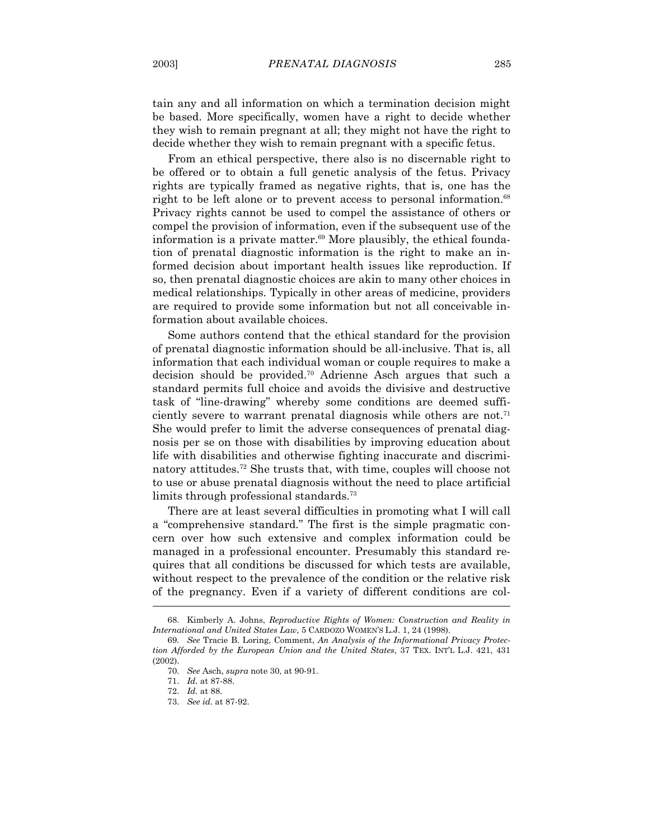tain any and all information on which a termination decision might be based. More specifically, women have a right to decide whether they wish to remain pregnant at all; they might not have the right to decide whether they wish to remain pregnant with a specific fetus.

 From an ethical perspective, there also is no discernable right to be offered or to obtain a full genetic analysis of the fetus. Privacy rights are typically framed as negative rights, that is, one has the right to be left alone or to prevent access to personal information.<sup>68</sup> Privacy rights cannot be used to compel the assistance of others or compel the provision of information, even if the subsequent use of the information is a private matter.<sup>69</sup> More plausibly, the ethical foundation of prenatal diagnostic information is the right to make an informed decision about important health issues like reproduction. If so, then prenatal diagnostic choices are akin to many other choices in medical relationships. Typically in other areas of medicine, providers are required to provide some information but not all conceivable information about available choices.

 Some authors contend that the ethical standard for the provision of prenatal diagnostic information should be all-inclusive. That is, all information that each individual woman or couple requires to make a decision should be provided.70 Adrienne Asch argues that such a standard permits full choice and avoids the divisive and destructive task of "line-drawing" whereby some conditions are deemed sufficiently severe to warrant prenatal diagnosis while others are not.<sup>71</sup> She would prefer to limit the adverse consequences of prenatal diagnosis per se on those with disabilities by improving education about life with disabilities and otherwise fighting inaccurate and discriminatory attitudes.72 She trusts that, with time, couples will choose not to use or abuse prenatal diagnosis without the need to place artificial limits through professional standards.<sup>73</sup>

 There are at least several difficulties in promoting what I will call a "comprehensive standard." The first is the simple pragmatic concern over how such extensive and complex information could be managed in a professional encounter. Presumably this standard requires that all conditions be discussed for which tests are available, without respect to the prevalence of the condition or the relative risk of the pregnancy. Even if a variety of different conditions are col-

 <sup>68.</sup> Kimberly A. Johns, *Reproductive Rights of Women: Construction and Reality in International and United States Law*, 5 CARDOZO WOMEN'S L.J. 1, 24 (1998).

 <sup>69.</sup> *See* Tracie B. Loring, Comment, *An Analysis of the Informational Privacy Protection Afforded by the European Union and the United States*, 37 TEX. INT'L L.J. 421, 431 (2002).

 <sup>70.</sup> *See* Asch, *supra* note 30, at 90-91.

 <sup>71.</sup> *Id.* at 87-88.

 <sup>72.</sup> *Id.* at 88.

 <sup>73.</sup> *See id.* at 87-92.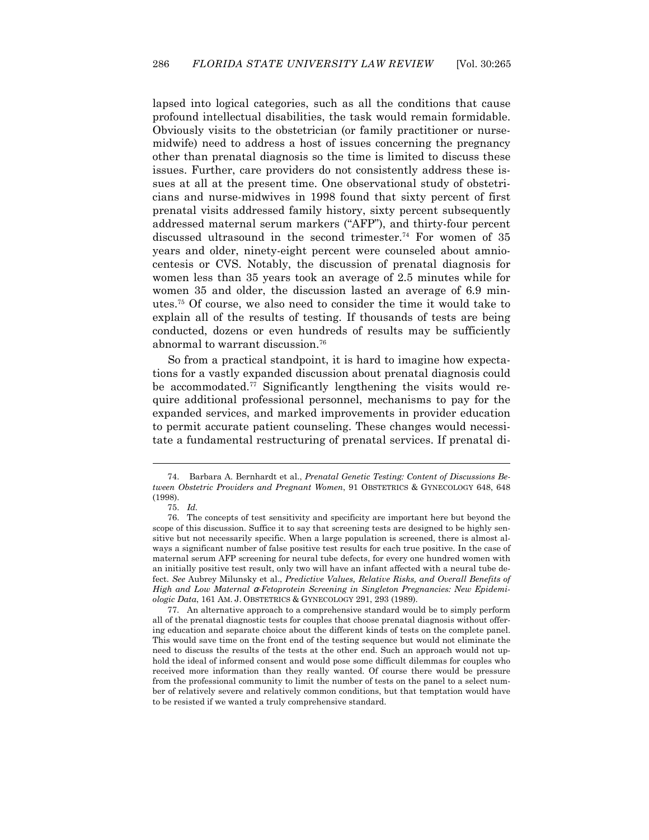lapsed into logical categories, such as all the conditions that cause profound intellectual disabilities, the task would remain formidable. Obviously visits to the obstetrician (or family practitioner or nursemidwife) need to address a host of issues concerning the pregnancy other than prenatal diagnosis so the time is limited to discuss these issues. Further, care providers do not consistently address these issues at all at the present time. One observational study of obstetricians and nurse-midwives in 1998 found that sixty percent of first prenatal visits addressed family history, sixty percent subsequently addressed maternal serum markers ("AFP"), and thirty-four percent discussed ultrasound in the second trimester.<sup>74</sup> For women of 35 years and older, ninety-eight percent were counseled about amniocentesis or CVS. Notably, the discussion of prenatal diagnosis for women less than 35 years took an average of 2.5 minutes while for women 35 and older, the discussion lasted an average of 6.9 minutes.75 Of course, we also need to consider the time it would take to explain all of the results of testing. If thousands of tests are being conducted, dozens or even hundreds of results may be sufficiently abnormal to warrant discussion.76

 So from a practical standpoint, it is hard to imagine how expectations for a vastly expanded discussion about prenatal diagnosis could be accommodated.<sup>77</sup> Significantly lengthening the visits would require additional professional personnel, mechanisms to pay for the expanded services, and marked improvements in provider education to permit accurate patient counseling. These changes would necessitate a fundamental restructuring of prenatal services. If prenatal di-

 <sup>74.</sup> Barbara A. Bernhardt et al., *Prenatal Genetic Testing: Content of Discussions Between Obstetric Providers and Pregnant Women*, 91 OBSTETRICS & GYNECOLOGY 648, 648 (1998).

 <sup>75.</sup> *Id.*

 <sup>76.</sup> The concepts of test sensitivity and specificity are important here but beyond the scope of this discussion. Suffice it to say that screening tests are designed to be highly sensitive but not necessarily specific. When a large population is screened, there is almost always a significant number of false positive test results for each true positive. In the case of maternal serum AFP screening for neural tube defects, for every one hundred women with an initially positive test result, only two will have an infant affected with a neural tube defect. *See* Aubrey Milunsky et al., *Predictive Values, Relative Risks, and Overall Benefits of High and Low Maternal* α*-Fetoprotein Screening in Singleton Pregnancies: New Epidemiologic Data*, 161 AM. J. OBSTETRICS & GYNECOLOGY 291, 293 (1989).

 <sup>77.</sup> An alternative approach to a comprehensive standard would be to simply perform all of the prenatal diagnostic tests for couples that choose prenatal diagnosis without offering education and separate choice about the different kinds of tests on the complete panel. This would save time on the front end of the testing sequence but would not eliminate the need to discuss the results of the tests at the other end. Such an approach would not uphold the ideal of informed consent and would pose some difficult dilemmas for couples who received more information than they really wanted. Of course there would be pressure from the professional community to limit the number of tests on the panel to a select number of relatively severe and relatively common conditions, but that temptation would have to be resisted if we wanted a truly comprehensive standard.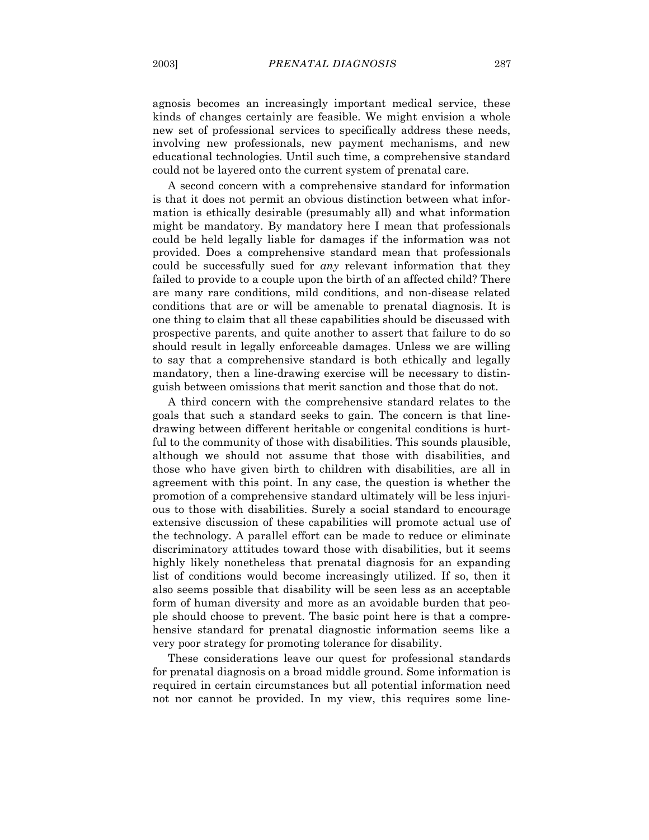agnosis becomes an increasingly important medical service, these kinds of changes certainly are feasible. We might envision a whole new set of professional services to specifically address these needs, involving new professionals, new payment mechanisms, and new educational technologies. Until such time, a comprehensive standard

could not be layered onto the current system of prenatal care. A second concern with a comprehensive standard for information is that it does not permit an obvious distinction between what information is ethically desirable (presumably all) and what information might be mandatory. By mandatory here I mean that professionals could be held legally liable for damages if the information was not provided. Does a comprehensive standard mean that professionals could be successfully sued for *any* relevant information that they failed to provide to a couple upon the birth of an affected child? There are many rare conditions, mild conditions, and non-disease related conditions that are or will be amenable to prenatal diagnosis. It is one thing to claim that all these capabilities should be discussed with prospective parents, and quite another to assert that failure to do so should result in legally enforceable damages. Unless we are willing to say that a comprehensive standard is both ethically and legally mandatory, then a line-drawing exercise will be necessary to distinguish between omissions that merit sanction and those that do not.

 A third concern with the comprehensive standard relates to the goals that such a standard seeks to gain. The concern is that linedrawing between different heritable or congenital conditions is hurtful to the community of those with disabilities. This sounds plausible, although we should not assume that those with disabilities, and those who have given birth to children with disabilities, are all in agreement with this point. In any case, the question is whether the promotion of a comprehensive standard ultimately will be less injurious to those with disabilities. Surely a social standard to encourage extensive discussion of these capabilities will promote actual use of the technology. A parallel effort can be made to reduce or eliminate discriminatory attitudes toward those with disabilities, but it seems highly likely nonetheless that prenatal diagnosis for an expanding list of conditions would become increasingly utilized. If so, then it also seems possible that disability will be seen less as an acceptable form of human diversity and more as an avoidable burden that people should choose to prevent. The basic point here is that a comprehensive standard for prenatal diagnostic information seems like a very poor strategy for promoting tolerance for disability.

 These considerations leave our quest for professional standards for prenatal diagnosis on a broad middle ground. Some information is required in certain circumstances but all potential information need not nor cannot be provided. In my view, this requires some line-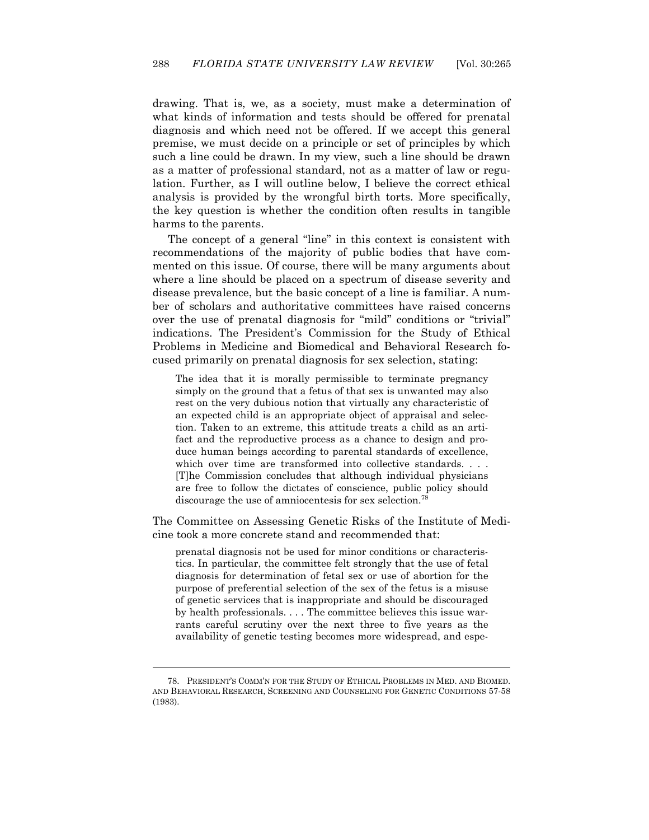drawing. That is, we, as a society, must make a determination of what kinds of information and tests should be offered for prenatal diagnosis and which need not be offered. If we accept this general premise, we must decide on a principle or set of principles by which such a line could be drawn. In my view, such a line should be drawn as a matter of professional standard, not as a matter of law or regulation. Further, as I will outline below, I believe the correct ethical analysis is provided by the wrongful birth torts. More specifically, the key question is whether the condition often results in tangible harms to the parents.

 The concept of a general "line" in this context is consistent with recommendations of the majority of public bodies that have commented on this issue. Of course, there will be many arguments about where a line should be placed on a spectrum of disease severity and disease prevalence, but the basic concept of a line is familiar. A number of scholars and authoritative committees have raised concerns over the use of prenatal diagnosis for "mild" conditions or "trivial" indications. The President's Commission for the Study of Ethical Problems in Medicine and Biomedical and Behavioral Research focused primarily on prenatal diagnosis for sex selection, stating:

The idea that it is morally permissible to terminate pregnancy simply on the ground that a fetus of that sex is unwanted may also rest on the very dubious notion that virtually any characteristic of an expected child is an appropriate object of appraisal and selection. Taken to an extreme, this attitude treats a child as an artifact and the reproductive process as a chance to design and produce human beings according to parental standards of excellence, which over time are transformed into collective standards. . . . [T]he Commission concludes that although individual physicians are free to follow the dictates of conscience, public policy should discourage the use of amniocentesis for sex selection.78

The Committee on Assessing Genetic Risks of the Institute of Medicine took a more concrete stand and recommended that:

prenatal diagnosis not be used for minor conditions or characteristics. In particular, the committee felt strongly that the use of fetal diagnosis for determination of fetal sex or use of abortion for the purpose of preferential selection of the sex of the fetus is a misuse of genetic services that is inappropriate and should be discouraged by health professionals. . . . The committee believes this issue warrants careful scrutiny over the next three to five years as the availability of genetic testing becomes more widespread, and espe-

 <sup>78.</sup> PRESIDENT'S COMM'N FOR THE STUDY OF ETHICAL PROBLEMS IN MED. AND BIOMED. AND BEHAVIORAL RESEARCH, SCREENING AND COUNSELING FOR GENETIC CONDITIONS 57-58 (1983).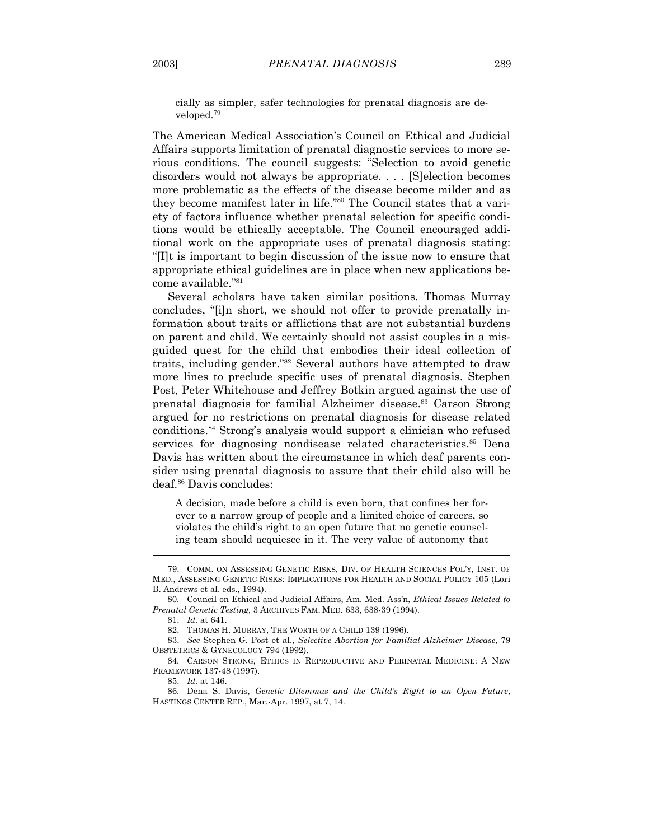cially as simpler, safer technologies for prenatal diagnosis are developed.79

The American Medical Association's Council on Ethical and Judicial Affairs supports limitation of prenatal diagnostic services to more serious conditions. The council suggests: "Selection to avoid genetic disorders would not always be appropriate.... [S]election becomes more problematic as the effects of the disease become milder and as they become manifest later in life."80 The Council states that a variety of factors influence whether prenatal selection for specific conditions would be ethically acceptable. The Council encouraged additional work on the appropriate uses of prenatal diagnosis stating: "[I]t is important to begin discussion of the issue now to ensure that appropriate ethical guidelines are in place when new applications become available."81

Several scholars have taken similar positions. Thomas Murray concludes, "[i]n short, we should not offer to provide prenatally information about traits or afflictions that are not substantial burdens on parent and child. We certainly should not assist couples in a misguided quest for the child that embodies their ideal collection of traits, including gender."82 Several authors have attempted to draw more lines to preclude specific uses of prenatal diagnosis. Stephen Post, Peter Whitehouse and Jeffrey Botkin argued against the use of prenatal diagnosis for familial Alzheimer disease.<sup>83</sup> Carson Strong argued for no restrictions on prenatal diagnosis for disease related conditions.84 Strong's analysis would support a clinician who refused services for diagnosing nondisease related characteristics.<sup>85</sup> Dena Davis has written about the circumstance in which deaf parents consider using prenatal diagnosis to assure that their child also will be deaf.86 Davis concludes:

A decision, made before a child is even born, that confines her forever to a narrow group of people and a limited choice of careers, so violates the child's right to an open future that no genetic counseling team should acquiesce in it. The very value of autonomy that

81. *Id.* at 641.

 $\overline{a}$ 

85. *Id.* at 146.

 <sup>79.</sup> COMM. ON ASSESSING GENETIC RISKS, DIV. OF HEALTH SCIENCES POL'Y, INST. OF MED., ASSESSING GENETIC RISKS: IMPLICATIONS FOR HEALTH AND SOCIAL POLICY 105 (Lori B. Andrews et al. eds., 1994).

 <sup>80.</sup> Council on Ethical and Judicial Affairs, Am. Med. Ass'n, *Ethical Issues Related to Prenatal Genetic Testing*, 3 ARCHIVES FAM. MED. 633, 638-39 (1994).

 <sup>82.</sup> THOMAS H. MURRAY, THE WORTH OF A CHILD 139 (1996).

 <sup>83.</sup> *See* Stephen G. Post et al., *Selective Abortion for Familial Alzheimer Disease*, 79 OBSTETRICS & GYNECOLOGY 794 (1992).

 <sup>84.</sup> CARSON STRONG, ETHICS IN REPRODUCTIVE AND PERINATAL MEDICINE: A NEW FRAMEWORK 137-48 (1997).

 <sup>86.</sup> Dena S. Davis, *Genetic Dilemmas and the Child's Right to an Open Future*, HASTINGS CENTER REP., Mar.-Apr. 1997, at 7, 14.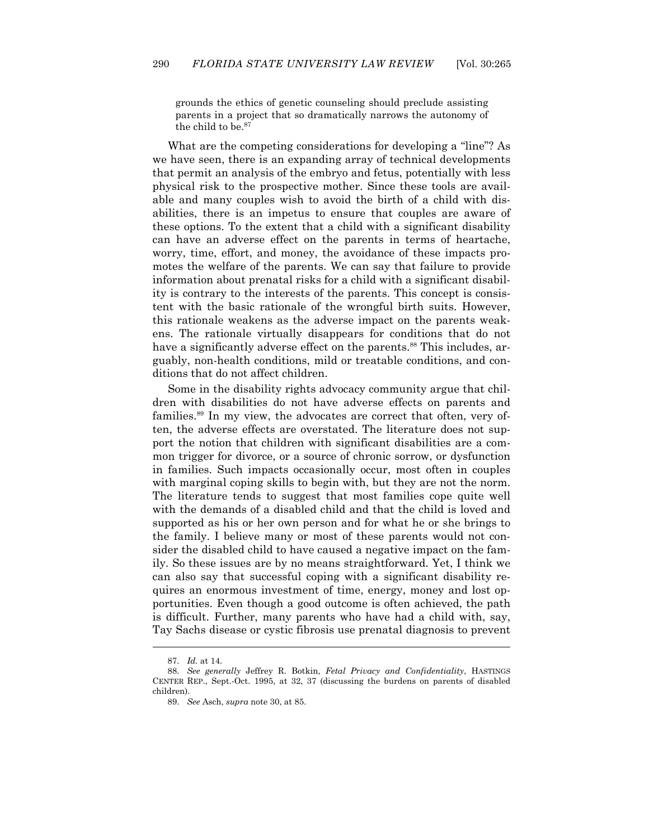grounds the ethics of genetic counseling should preclude assisting parents in a project that so dramatically narrows the autonomy of the child to be.<sup>87</sup>

 What are the competing considerations for developing a "line"? As we have seen, there is an expanding array of technical developments that permit an analysis of the embryo and fetus, potentially with less physical risk to the prospective mother. Since these tools are available and many couples wish to avoid the birth of a child with disabilities, there is an impetus to ensure that couples are aware of these options. To the extent that a child with a significant disability can have an adverse effect on the parents in terms of heartache, worry, time, effort, and money, the avoidance of these impacts promotes the welfare of the parents. We can say that failure to provide information about prenatal risks for a child with a significant disability is contrary to the interests of the parents. This concept is consistent with the basic rationale of the wrongful birth suits. However, this rationale weakens as the adverse impact on the parents weakens. The rationale virtually disappears for conditions that do not have a significantly adverse effect on the parents.<sup>88</sup> This includes, arguably, non-health conditions, mild or treatable conditions, and conditions that do not affect children.

 Some in the disability rights advocacy community argue that children with disabilities do not have adverse effects on parents and families.<sup>89</sup> In my view, the advocates are correct that often, very often, the adverse effects are overstated. The literature does not support the notion that children with significant disabilities are a common trigger for divorce, or a source of chronic sorrow, or dysfunction in families. Such impacts occasionally occur, most often in couples with marginal coping skills to begin with, but they are not the norm. The literature tends to suggest that most families cope quite well with the demands of a disabled child and that the child is loved and supported as his or her own person and for what he or she brings to the family. I believe many or most of these parents would not consider the disabled child to have caused a negative impact on the family. So these issues are by no means straightforward. Yet, I think we can also say that successful coping with a significant disability requires an enormous investment of time, energy, money and lost opportunities. Even though a good outcome is often achieved, the path is difficult. Further, many parents who have had a child with, say, Tay Sachs disease or cystic fibrosis use prenatal diagnosis to prevent

 <sup>87.</sup> *Id.* at 14.

 <sup>88.</sup> *See generally* Jeffrey R. Botkin, *Fetal Privacy and Confidentiality*, HASTINGS CENTER REP., Sept.-Oct. 1995, at 32, 37 (discussing the burdens on parents of disabled children).

 <sup>89.</sup> *See* Asch, *supra* note 30, at 85.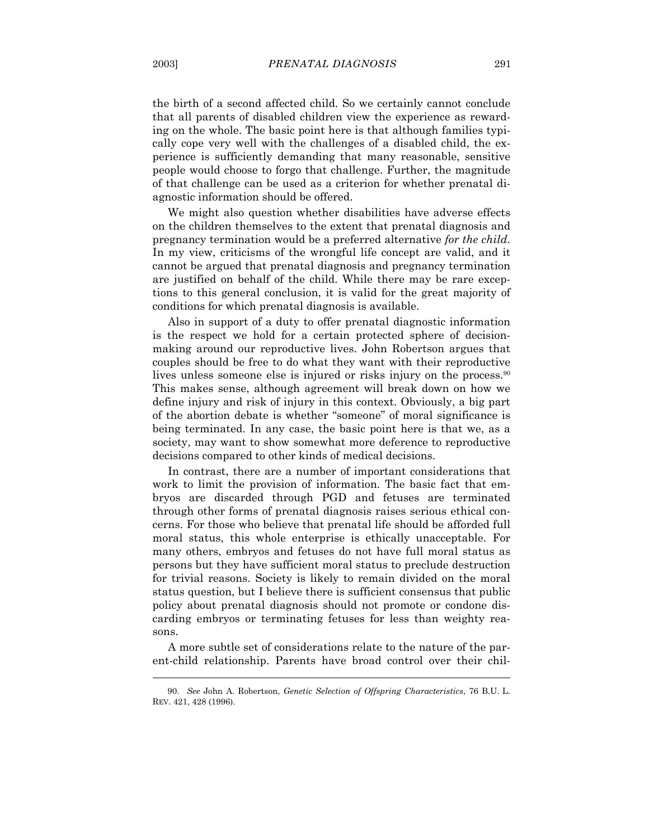the birth of a second affected child. So we certainly cannot conclude that all parents of disabled children view the experience as rewarding on the whole. The basic point here is that although families typically cope very well with the challenges of a disabled child, the experience is sufficiently demanding that many reasonable, sensitive people would choose to forgo that challenge. Further, the magnitude of that challenge can be used as a criterion for whether prenatal diagnostic information should be offered.

 We might also question whether disabilities have adverse effects on the children themselves to the extent that prenatal diagnosis and pregnancy termination would be a preferred alternative *for the child*. In my view, criticisms of the wrongful life concept are valid, and it cannot be argued that prenatal diagnosis and pregnancy termination are justified on behalf of the child. While there may be rare exceptions to this general conclusion, it is valid for the great majority of conditions for which prenatal diagnosis is available.

 Also in support of a duty to offer prenatal diagnostic information is the respect we hold for a certain protected sphere of decisionmaking around our reproductive lives. John Robertson argues that couples should be free to do what they want with their reproductive lives unless someone else is injured or risks injury on the process.<sup>90</sup> This makes sense, although agreement will break down on how we define injury and risk of injury in this context. Obviously, a big part of the abortion debate is whether "someone" of moral significance is being terminated. In any case, the basic point here is that we, as a society, may want to show somewhat more deference to reproductive decisions compared to other kinds of medical decisions.

 In contrast, there are a number of important considerations that work to limit the provision of information. The basic fact that embryos are discarded through PGD and fetuses are terminated through other forms of prenatal diagnosis raises serious ethical concerns. For those who believe that prenatal life should be afforded full moral status, this whole enterprise is ethically unacceptable. For many others, embryos and fetuses do not have full moral status as persons but they have sufficient moral status to preclude destruction for trivial reasons. Society is likely to remain divided on the moral status question, but I believe there is sufficient consensus that public policy about prenatal diagnosis should not promote or condone discarding embryos or terminating fetuses for less than weighty reasons.

 A more subtle set of considerations relate to the nature of the parent-child relationship. Parents have broad control over their chil-

 <sup>90.</sup> *See* John A. Robertson, *Genetic Selection of Offspring Characteristics*, 76 B.U. L. REV. 421, 428 (1996).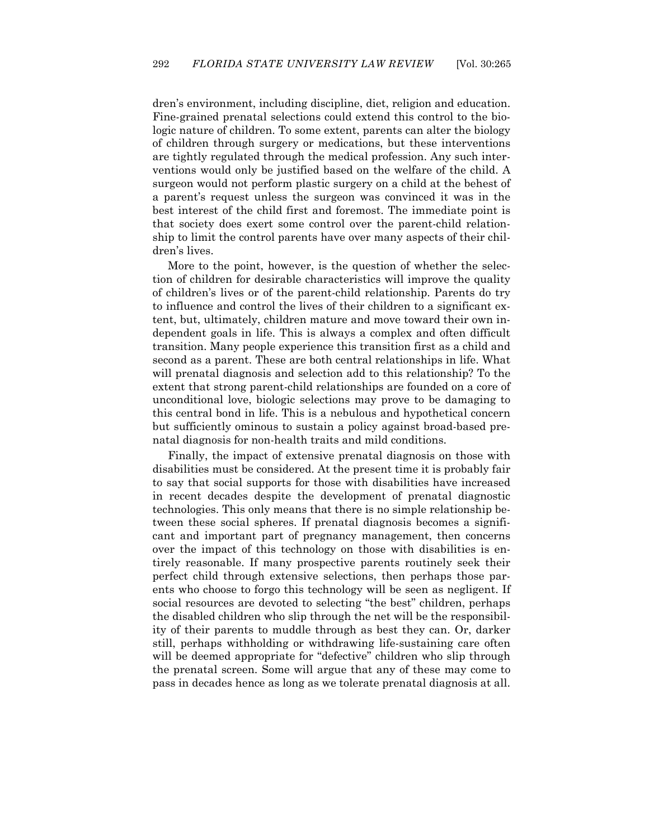dren's environment, including discipline, diet, religion and education. Fine-grained prenatal selections could extend this control to the biologic nature of children. To some extent, parents can alter the biology of children through surgery or medications, but these interventions are tightly regulated through the medical profession. Any such interventions would only be justified based on the welfare of the child. A surgeon would not perform plastic surgery on a child at the behest of a parent's request unless the surgeon was convinced it was in the best interest of the child first and foremost. The immediate point is that society does exert some control over the parent-child relationship to limit the control parents have over many aspects of their children's lives.

 More to the point, however, is the question of whether the selection of children for desirable characteristics will improve the quality of children's lives or of the parent-child relationship. Parents do try to influence and control the lives of their children to a significant extent, but, ultimately, children mature and move toward their own independent goals in life. This is always a complex and often difficult transition. Many people experience this transition first as a child and second as a parent. These are both central relationships in life. What will prenatal diagnosis and selection add to this relationship? To the extent that strong parent-child relationships are founded on a core of unconditional love, biologic selections may prove to be damaging to this central bond in life. This is a nebulous and hypothetical concern but sufficiently ominous to sustain a policy against broad-based prenatal diagnosis for non-health traits and mild conditions.

 Finally, the impact of extensive prenatal diagnosis on those with disabilities must be considered. At the present time it is probably fair to say that social supports for those with disabilities have increased in recent decades despite the development of prenatal diagnostic technologies. This only means that there is no simple relationship between these social spheres. If prenatal diagnosis becomes a significant and important part of pregnancy management, then concerns over the impact of this technology on those with disabilities is entirely reasonable. If many prospective parents routinely seek their perfect child through extensive selections, then perhaps those parents who choose to forgo this technology will be seen as negligent. If social resources are devoted to selecting "the best" children, perhaps the disabled children who slip through the net will be the responsibility of their parents to muddle through as best they can. Or, darker still, perhaps withholding or withdrawing life-sustaining care often will be deemed appropriate for "defective" children who slip through the prenatal screen. Some will argue that any of these may come to pass in decades hence as long as we tolerate prenatal diagnosis at all.